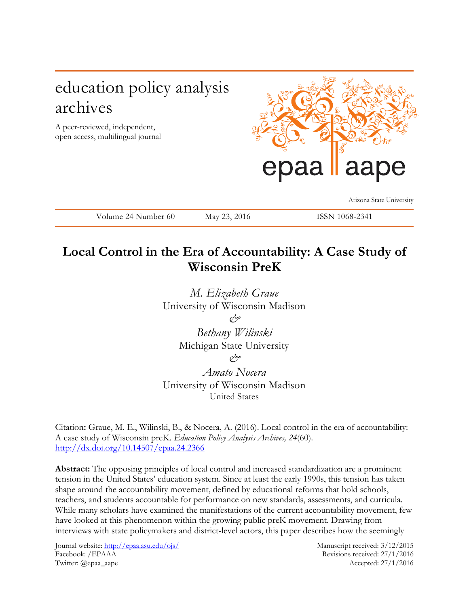# education policy analysis archives

A peer-reviewed, independent, open access, multilingual journal



Arizona State University

Volume 24 Number 60 May 23, 2016 ISSN 1068-2341

## **Local Control in the Era of Accountability: A Case Study of Wisconsin PreK**

*M. Elizabeth Graue* University of Wisconsin Madison *&*

*Bethany Wilinski* Michigan State University *&*

*Amato Nocera* University of Wisconsin Madison United States

Citation**:** Graue, M. E., Wilinski, B., & Nocera, A. (2016). Local control in the era of accountability: A case study of Wisconsin preK. *Education Policy Analysis Archives, 24*(60). <http://dx.doi.org/10.14507/epaa.24.2366>

**Abstract:** The opposing principles of local control and increased standardization are a prominent tension in the United States' education system. Since at least the early 1990s, this tension has taken shape around the accountability movement, defined by educational reforms that hold schools, teachers, and students accountable for performance on new standards, assessments, and curricula. While many scholars have examined the manifestations of the current accountability movement, few have looked at this phenomenon within the growing public preK movement. Drawing from interviews with state policymakers and district-level actors, this paper describes how the seemingly

Journal website:<http://epaa.asu.edu/ojs/><br>Facebook: /EPAAA Revisions received: 27/1/2016 Twitter: *(a)epaa\_aape* Accepted: 27/1/2016

Revisions received: 27/1/2016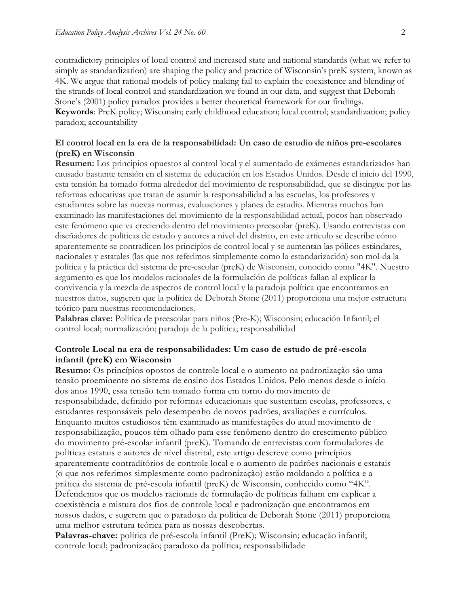contradictory principles of local control and increased state and national standards (what we refer to simply as standardization) are shaping the policy and practice of Wisconsin's preK system, known as 4K. We argue that rational models of policy making fail to explain the coexistence and blending of the strands of local control and standardization we found in our data, and suggest that Deborah Stone's (2001) policy paradox provides a better theoretical framework for our findings. **Keywords**: PreK policy; Wisconsin; early childhood education; local control; standardization; policy paradox; accountability

#### **El control local en la era de la responsabilidad: Un caso de estudio de niños pre-escolares (preK) en Wisconsin**

**Resumen:** Los principios opuestos al control local y el aumentado de exámenes estandarizados han causado bastante tensión en el sistema de educación en los Estados Unidos. Desde el inicio del 1990, esta tensión ha tomado forma alrededor del movimiento de responsabilidad, que se distingue por las reformas educativas que tratan de asumir la responsabilidad a las escuelas, los profesores y estudiantes sobre las nuevas normas, evaluaciones y planes de estudio. Mientras muchos han examinado las manifestaciones del movimiento de la responsabilidad actual, pocos han observado este fenómeno que va creciendo dentro del movimiento preescolar (preK). Usando entrevistas con diseñadores de políticas de estado y autores a nivel del distrito, en este artículo se describe cómo aparentemente se contradicen los principios de control local y se aumentan las pólices estándares, nacionales y estatales (las que nos referimos simplemente como la estandarización) son mol-da la política y la práctica del sistema de pre-escolar (preK) de Wisconsin, conocido como "4K". Nuestro argumento es que los modelos racionales de la formulación de políticas fallan al explicar la convivencia y la mezcla de aspectos de control local y la paradoja política que encontramos en nuestros datos, sugieren que la política de Deborah Stone (2011) proporciona una mejor estructura teórico para nuestras recomendaciones.

**Palabras clave:** Política de preescolar para niños (Pre-K); Wisconsin; educación Infantil; el control local; normalización; paradoja de la política; responsabilidad

#### **Controle Local na era de responsabilidades: Um caso de estudo de pré-escola infantil (preK) em Wisconsin**

**Resumo:** Os princípios opostos de controle local e o aumento na padronização são uma tensão proeminente no sistema de ensino dos Estados Unidos. Pelo menos desde o início dos anos 1990, essa tensão tem tomado forma em torno do movimento de responsabilidade, definido por reformas educacionais que sustentam escolas, professores, e estudantes responsáveis pelo desempenho de novos padrões, avaliações e currículos. Enquanto muitos estudiosos têm examinado as manifestações do atual movimento de responsabilização, poucos têm olhado para esse fenômeno dentro do crescimento público do movimento pré-escolar infantil (preK). Tomando de entrevistas com formuladores de políticas estatais e autores de nível distrital, este artigo descreve como princípios aparentemente contraditórios de controle local e o aumento de padrões nacionais e estatais (o que nos referimos simplesmente como padronização) estão moldando a política e a prática do sistema de pré-escola infantil (preK) de Wisconsin, conhecido como "4K". Defendemos que os modelos racionais de formulação de políticas falham em explicar a coexistência e mistura dos fios de controle local e padronização que encontramos em nossos dados, e sugerem que o paradoxo da política de Deborah Stone (2011) proporciona uma melhor estrutura teórica para as nossas descobertas.

**Palavras-chave:** política de pré-escola infantil (PreK); Wisconsin; educação infantil; controle local; padronização; paradoxo da política; responsabilidade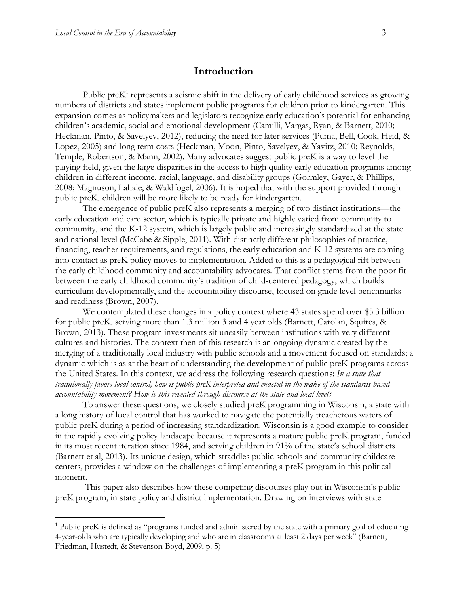$\overline{a}$ 

### **Introduction**

Public pre $K<sup>1</sup>$  represents a seismic shift in the delivery of early childhood services as growing numbers of districts and states implement public programs for children prior to kindergarten. This expansion comes as policymakers and legislators recognize early education's potential for enhancing children's academic, social and emotional development (Camilli, Vargas, Ryan, & Barnett, 2010; Heckman, Pinto, & Savelyev, 2012), reducing the need for later services (Puma, Bell, Cook, Heid, & Lopez, 2005) and long term costs (Heckman, Moon, Pinto, Savelyev, & Yavitz, 2010; Reynolds, Temple, Robertson, & Mann, 2002). Many advocates suggest public preK is a way to level the playing field, given the large disparities in the access to high quality early education programs among children in different income, racial, language, and disability groups (Gormley, Gayer, & Phillips, 2008; Magnuson, Lahaie, & Waldfogel, 2006). It is hoped that with the support provided through public preK, children will be more likely to be ready for kindergarten.

The emergence of public preK also represents a merging of two distinct institutions—the early education and care sector, which is typically private and highly varied from community to community, and the K-12 system, which is largely public and increasingly standardized at the state and national level (McCabe & Sipple, 2011). With distinctly different philosophies of practice, financing, teacher requirements, and regulations, the early education and K-12 systems are coming into contact as preK policy moves to implementation. Added to this is a pedagogical rift between the early childhood community and accountability advocates. That conflict stems from the poor fit between the early childhood community's tradition of child-centered pedagogy, which builds curriculum developmentally, and the accountability discourse, focused on grade level benchmarks and readiness (Brown, 2007).

We contemplated these changes in a policy context where 43 states spend over \$5.3 billion for public preK, serving more than 1.3 million 3 and 4 year olds (Barnett, Carolan, Squires, & Brown, 2013). These program investments sit uneasily between institutions with very different cultures and histories. The context then of this research is an ongoing dynamic created by the merging of a traditionally local industry with public schools and a movement focused on standards; a dynamic which is as at the heart of understanding the development of public preK programs across the United States. In this context, we address the following research questions: *In a state that traditionally favors local control, how is public preK interpreted and enacted in the wake of the standards-based accountability movement? How is this revealed through discourse at the state and local level?*

To answer these questions, we closely studied preK programming in Wisconsin, a state with a long history of local control that has worked to navigate the potentially treacherous waters of public preK during a period of increasing standardization. Wisconsin is a good example to consider in the rapidly evolving policy landscape because it represents a mature public preK program, funded in its most recent iteration since 1984, and serving children in 91% of the state's school districts (Barnett et al, 2013). Its unique design, which straddles public schools and community childcare centers, provides a window on the challenges of implementing a preK program in this political moment.

This paper also describes how these competing discourses play out in Wisconsin's public preK program, in state policy and district implementation. Drawing on interviews with state

 $1$  Public preK is defined as "programs funded and administered by the state with a primary goal of educating 4-year-olds who are typically developing and who are in classrooms at least 2 days per week" (Barnett, Friedman, Hustedt, & Stevenson-Boyd, 2009, p. 5)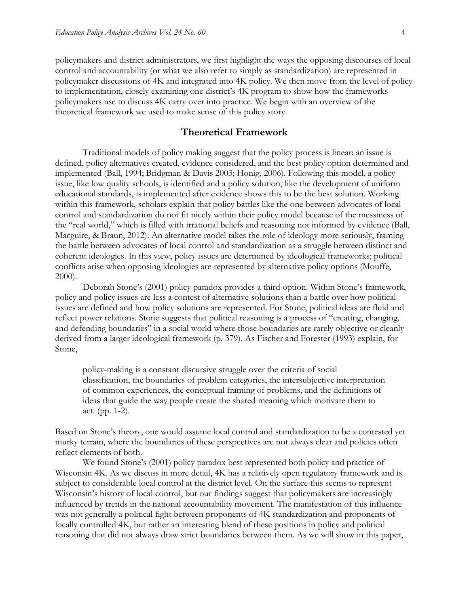policymakers and district administrators, we first highlight the ways the opposing discourses of local control and accountability (or what we also refer to simply as standardization) are represented in policymaker discussions of 4K and integrated into 4K policy. We then move from the level of policy to implementation, closely examining one district's 4K program to show how the frameworks policymakers use to discuss 4K carry over into practice. We begin with an overview of the theoretical framework we used to make sense of this policy story.

#### **Theoretical Framework**

Traditional models of policy making suggest that the policy process is linear: an issue is defined, policy alternatives created, evidence considered, and the best policy option determined and implemented (Ball, 1994; Bridgman & Davis 2003; Honig, 2006). Following this model, a policy issue, like low quality schools, is identified and a policy solution, like the development of uniform educational standards, is implemented after evidence shows this to be the best solution. Working within this framework, scholars explain that policy battles like the one between advocates of local control and standardization do not fit nicely within their policy model because of the messiness of the "real world," which is filled with irrational beliefs and reasoning not informed by evidence (Ball, Macguire, & Braun, 2012). An alternative model takes the role of ideology more seriously, framing the battle between advocates of local control and standardization as a struggle between distinct and coherent ideologies. In this view, policy issues are determined by ideological frameworks; political conflicts arise when opposing ideologies are represented by alternative policy options (Mouffe, 2000).

Deborah Stone's (2001) policy paradox provides a third option. Within Stone's framework, policy and policy issues are less a contest of alternative solutions than a battle over how political issues are defined and how policy solutions are represented. For Stone, political ideas are fluid and reflect power relations. Stone suggests that political reasoning is a process of "creating, changing, and defending boundaries" in a social world where those boundaries are rarely objective or cleanly derived from a larger ideological framework (p. 379). As Fischer and Forester (1993) explain, for Stone,

policy-making is a constant discursive struggle over the criteria of social classification, the boundaries of problem categories, the intersubjective interpretation of common experiences, the conceptual framing of problems, and the definitions of ideas that guide the way people create the shared meaning which motivate them to act. (pp. 1-2).

Based on Stone's theory, one would assume local control and standardization to be a contested yet murky terrain, where the boundaries of these perspectives are not always clear and policies often reflect elements of both.

We found Stone's (2001) policy paradox best represented both policy and practice of Wisconsin 4K. As we discuss in more detail, 4K has a relatively open regulatory framework and is subject to considerable local control at the district level. On the surface this seems to represent Wisconsin's history of local control, but our findings suggest that policymakers are increasingly influenced by trends in the national accountability movement. The manifestation of this influence was not generally a political fight between proponents of 4K standardization and proponents of locally controlled 4K, but rather an interesting blend of these positions in policy and political reasoning that did not always draw strict boundaries between them. As we will show in this paper,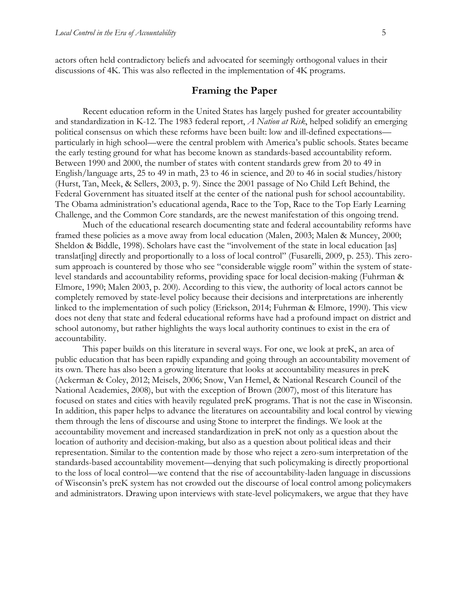actors often held contradictory beliefs and advocated for seemingly orthogonal values in their discussions of 4K. This was also reflected in the implementation of 4K programs.

#### **Framing the Paper**

Recent education reform in the United States has largely pushed for greater accountability and standardization in K-12. The 1983 federal report, *A Nation at Risk*, helped solidify an emerging political consensus on which these reforms have been built: low and ill-defined expectations particularly in high school—were the central problem with America's public schools. States became the early testing ground for what has become known as standards-based accountability reform. Between 1990 and 2000, the number of states with content standards grew from 20 to 49 in English/language arts, 25 to 49 in math, 23 to 46 in science, and 20 to 46 in social studies/history (Hurst, Tan, Meek, & Sellers, 2003, p. 9). Since the 2001 passage of No Child Left Behind, the Federal Government has situated itself at the center of the national push for school accountability. The Obama administration's educational agenda, Race to the Top, Race to the Top Early Learning Challenge, and the Common Core standards, are the newest manifestation of this ongoing trend.

Much of the educational research documenting state and federal accountability reforms have framed these policies as a move away from local education (Malen, 2003; Malen & Muncey, 2000; Sheldon & Biddle, 1998). Scholars have cast the "involvement of the state in local education [as] translat [ing] directly and proportionally to a loss of local control" (Fusarelli, 2009, p. 253). This zerosum approach is countered by those who see "considerable wiggle room" within the system of statelevel standards and accountability reforms, providing space for local decision-making (Fuhrman & Elmore, 1990; Malen 2003, p. 200). According to this view, the authority of local actors cannot be completely removed by state-level policy because their decisions and interpretations are inherently linked to the implementation of such policy (Erickson, 2014; Fuhrman & Elmore, 1990). This view does not deny that state and federal educational reforms have had a profound impact on district and school autonomy, but rather highlights the ways local authority continues to exist in the era of accountability.

This paper builds on this literature in several ways. For one, we look at preK, an area of public education that has been rapidly expanding and going through an accountability movement of its own. There has also been a growing literature that looks at accountability measures in preK (Ackerman & Coley, 2012; Meisels, 2006; Snow, Van Hemel, & National Research Council of the National Academies, 2008), but with the exception of Brown (2007), most of this literature has focused on states and cities with heavily regulated preK programs. That is not the case in Wisconsin. In addition, this paper helps to advance the literatures on accountability and local control by viewing them through the lens of discourse and using Stone to interpret the findings. We look at the accountability movement and increased standardization in preK not only as a question about the location of authority and decision-making, but also as a question about political ideas and their representation. Similar to the contention made by those who reject a zero-sum interpretation of the standards-based accountability movement—denying that such policymaking is directly proportional to the loss of local control—we contend that the rise of accountability-laden language in discussions of Wisconsin's preK system has not crowded out the discourse of local control among policymakers and administrators. Drawing upon interviews with state-level policymakers, we argue that they have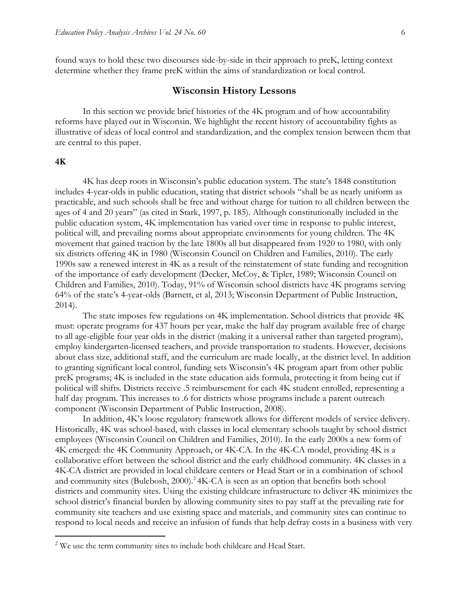found ways to hold these two discourses side-by-side in their approach to preK, letting context determine whether they frame preK within the aims of standardization or local control.

#### **Wisconsin History Lessons**

In this section we provide brief histories of the 4K program and of how accountability reforms have played out in Wisconsin. We highlight the recent history of accountability fights as illustrative of ideas of local control and standardization, and the complex tension between them that are central to this paper.

#### **4K**

 $\overline{a}$ 

4K has deep roots in Wisconsin's public education system. The state's 1848 constitution includes 4-year-olds in public education, stating that district schools "shall be as nearly uniform as practicable, and such schools shall be free and without charge for tuition to all children between the ages of 4 and 20 years" (as cited in Stark, 1997, p. 185). Although constitutionally included in the public education system, 4K implementation has varied over time in response to public interest, political will, and prevailing norms about appropriate environments for young children. The 4K movement that gained traction by the late 1800s all but disappeared from 1920 to 1980, with only six districts offering 4K in 1980 (Wisconsin Council on Children and Families, 2010). The early 1990s saw a renewed interest in 4K as a result of the reinstatement of state funding and recognition of the importance of early development (Decker, McCoy, & Tipler, 1989; Wisconsin Council on Children and Families, 2010). Today, 91% of Wisconsin school districts have 4K programs serving 64% of the state's 4-year-olds (Barnett, et al, 2013; Wisconsin Department of Public Instruction, 2014).

The state imposes few regulations on 4K implementation. School districts that provide 4K must: operate programs for 437 hours per year, make the half day program available free of charge to all age-eligible four year olds in the district (making it a universal rather than targeted program), employ kindergarten-licensed teachers, and provide transportation to students. However, decisions about class size, additional staff, and the curriculum are made locally, at the district level. In addition to granting significant local control, funding sets Wisconsin's 4K program apart from other public preK programs; 4K is included in the state education aids formula, protecting it from being cut if political will shifts. Districts receive .5 reimbursement for each 4K student enrolled, representing a half day program. This increases to .6 for districts whose programs include a parent outreach component (Wisconsin Department of Public Instruction, 2008).

In addition, 4K's loose regulatory framework allows for different models of service delivery. Historically, 4K was school-based, with classes in local elementary schools taught by school district employees (Wisconsin Council on Children and Families, 2010). In the early 2000s a new form of 4K emerged: the 4K Community Approach, or 4K-CA. In the 4K-CA model, providing 4K is a collaborative effort between the school district and the early childhood community. 4K classes in a 4K-CA district are provided in local childcare centers or Head Start or in a combination of school and community sites (Bulebosh, 2000).<sup>2</sup> 4K-CA is seen as an option that benefits both school districts and community sites. Using the existing childcare infrastructure to deliver 4K minimizes the school district's financial burden by allowing community sites to pay staff at the prevailing rate for community site teachers and use existing space and materials, and community sites can continue to respond to local needs and receive an infusion of funds that help defray costs in a business with very

<sup>&</sup>lt;sup>2</sup> We use the term community sites to include both childcare and Head Start.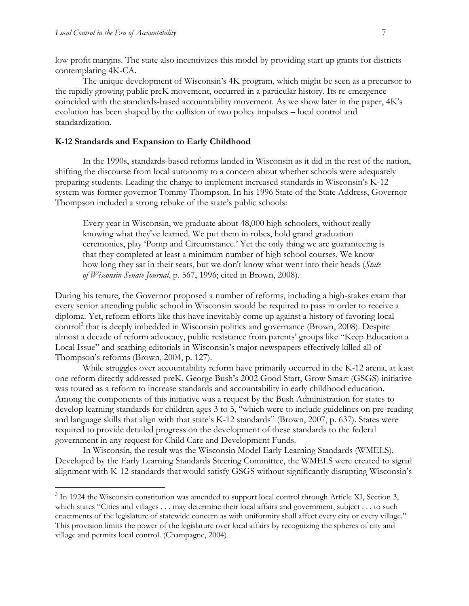$\overline{a}$ 

low profit margins. The state also incentivizes this model by providing start up grants for districts contemplating 4K-CA.

The unique development of Wisconsin's 4K program, which might be seen as a precursor to the rapidly growing public preK movement, occurred in a particular history. Its re-emergence coincided with the standards-based accountability movement. As we show later in the paper, 4K's evolution has been shaped by the collision of two policy impulses – local control and standardization.

#### **K-12 Standards and Expansion to Early Childhood**

In the 1990s, standards-based reforms landed in Wisconsin as it did in the rest of the nation, shifting the discourse from local autonomy to a concern about whether schools were adequately preparing students. Leading the charge to implement increased standards in Wisconsin's K-12 system was former governor Tommy Thompson. In his 1996 State of the State Address, Governor Thompson included a strong rebuke of the state's public schools:

Every year in Wisconsin, we graduate about 48,000 high schoolers, without really knowing what they've learned. We put them in robes, hold grand graduation ceremonies, play 'Pomp and Circumstance.' Yet the only thing we are guaranteeing is that they completed at least a minimum number of high school courses. We know how long they sat in their seats, but we don't know what went into their heads (*State of Wisconsin Senate Journal*, p. 567, 1996; cited in Brown, 2008).

During his tenure, the Governor proposed a number of reforms, including a high-stakes exam that every senior attending public school in Wisconsin would be required to pass in order to receive a diploma. Yet, reform efforts like this have inevitably come up against a history of favoring local control<sup>3</sup> that is deeply imbedded in Wisconsin politics and governance (Brown, 2008). Despite almost a decade of reform advocacy, public resistance from parents' groups like "Keep Education a Local Issue" and scathing editorials in Wisconsin's major newspapers effectively killed all of Thompson's reforms (Brown, 2004, p. 127).

While struggles over accountability reform have primarily occurred in the K-12 arena, at least one reform directly addressed preK. George Bush's 2002 Good Start, Grow Smart (GSGS) initiative was touted as a reform to increase standards and accountability in early childhood education. Among the components of this initiative was a request by the Bush Administration for states to develop learning standards for children ages 3 to 5, "which were to include guidelines on pre-reading and language skills that align with that state's K-12 standards" (Brown, 2007, p. 637). States were required to provide detailed progress on the development of these standards to the federal government in any request for Child Care and Development Funds.

In Wisconsin, the result was the Wisconsin Model Early Learning Standards (WMELS). Developed by the Early Learning Standards Steering Committee, the WMELS were created to signal alignment with K-12 standards that would satisfy GSGS without significantly disrupting Wisconsin's

<sup>&</sup>lt;sup>3</sup> In 1924 the Wisconsin constitution was amended to support local control through Article XI, Section 3, which states "Cities and villages . . . may determine their local affairs and government, subject . . . to such enactments of the legislature of statewide concern as with uniformity shall affect every city or every village." This provision limits the power of the legislature over local affairs by recognizing the spheres of city and village and permits local control. (Champagne, 2004)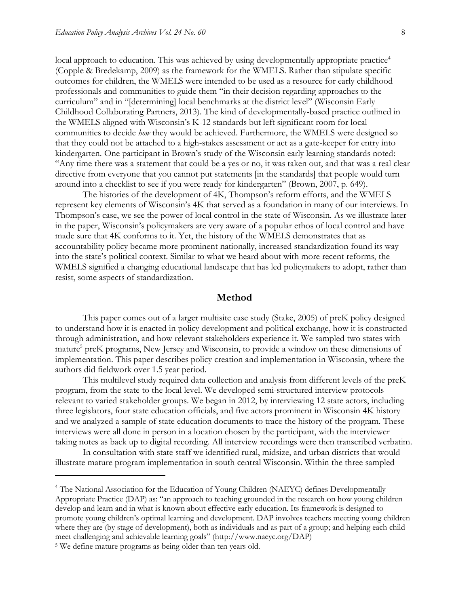local approach to education. This was achieved by using developmentally appropriate practice<sup>4</sup> (Copple & Bredekamp, 2009) as the framework for the WMELS. Rather than stipulate specific outcomes for children, the WMELS were intended to be used as a resource for early childhood professionals and communities to guide them "in their decision regarding approaches to the curriculum" and in "[determining] local benchmarks at the district level" (Wisconsin Early Childhood Collaborating Partners, 2013). The kind of developmentally-based practice outlined in the WMELS aligned with Wisconsin's K-12 standards but left significant room for local communities to decide *how* they would be achieved. Furthermore, the WMELS were designed so that they could not be attached to a high-stakes assessment or act as a gate-keeper for entry into kindergarten. One participant in Brown's study of the Wisconsin early learning standards noted: "Any time there was a statement that could be a yes or no, it was taken out, and that was a real clear directive from everyone that you cannot put statements [in the standards] that people would turn around into a checklist to see if you were ready for kindergarten" (Brown, 2007, p. 649).

The histories of the development of 4K, Thompson's reform efforts, and the WMELS represent key elements of Wisconsin's 4K that served as a foundation in many of our interviews. In Thompson's case, we see the power of local control in the state of Wisconsin. As we illustrate later in the paper, Wisconsin's policymakers are very aware of a popular ethos of local control and have made sure that 4K conforms to it. Yet, the history of the WMELS demonstrates that as accountability policy became more prominent nationally, increased standardization found its way into the state's political context. Similar to what we heard about with more recent reforms, the WMELS signified a changing educational landscape that has led policymakers to adopt, rather than resist, some aspects of standardization.

#### **Method**

This paper comes out of a larger multisite case study (Stake, 2005) of preK policy designed to understand how it is enacted in policy development and political exchange, how it is constructed through administration, and how relevant stakeholders experience it. We sampled two states with mature<sup>5</sup> preK programs, New Jersey and Wisconsin, to provide a window on these dimensions of implementation. This paper describes policy creation and implementation in Wisconsin, where the authors did fieldwork over 1.5 year period.

This multilevel study required data collection and analysis from different levels of the preK program, from the state to the local level. We developed semi-structured interview protocols relevant to varied stakeholder groups. We began in 2012, by interviewing 12 state actors, including three legislators, four state education officials, and five actors prominent in Wisconsin 4K history and we analyzed a sample of state education documents to trace the history of the program. These interviews were all done in person in a location chosen by the participant, with the interviewer taking notes as back up to digital recording. All interview recordings were then transcribed verbatim.

In consultation with state staff we identified rural, midsize, and urban districts that would illustrate mature program implementation in south central Wisconsin. Within the three sampled

 $\overline{a}$ 

<sup>&</sup>lt;sup>4</sup> The National Association for the Education of Young Children (NAEYC) defines Developmentally Appropriate Practice (DAP) as: "an approach to teaching grounded in the research on how young children develop and learn and in what is known about effective early education. Its framework is designed to promote young children's optimal learning and development. DAP involves teachers meeting young children where they are (by stage of development), both as individuals and as part of a group; and helping each child meet challenging and achievable learning goals" (http://www.naeyc.org/DAP)

<sup>&</sup>lt;sup>5</sup> We define mature programs as being older than ten years old.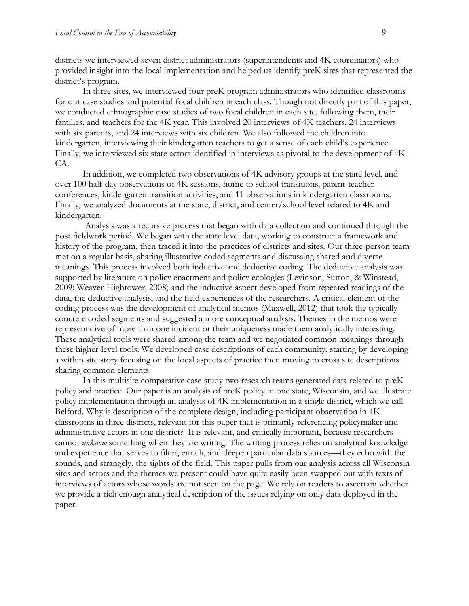districts we interviewed seven district administrators (superintendents and 4K coordinators) who provided insight into the local implementation and helped us identify preK sites that represented the district's program.

In three sites, we interviewed four preK program administrators who identified classrooms for our case studies and potential focal children in each class. Though not directly part of this paper, we conducted ethnographic case studies of two focal children in each site, following them, their families, and teachers for the 4K year. This involved 20 interviews of 4K teachers, 24 interviews with six parents, and 24 interviews with six children. We also followed the children into kindergarten, interviewing their kindergarten teachers to get a sense of each child's experience. Finally, we interviewed six state actors identified in interviews as pivotal to the development of 4K-CA.

In addition, we completed two observations of 4K advisory groups at the state level, and over 100 half-day observations of 4K sessions, home to school transitions, parent-teacher conferences, kindergarten transition activities, and 11 observations in kindergarten classrooms. Finally, we analyzed documents at the state, district, and center/school level related to 4K and kindergarten.

Analysis was a recursive process that began with data collection and continued through the post fieldwork period. We began with the state level data, working to construct a framework and history of the program, then traced it into the practices of districts and sites. Our three-person team met on a regular basis, sharing illustrative coded segments and discussing shared and diverse meanings. This process involved both inductive and deductive coding. The deductive analysis was supported by literature on policy enactment and policy ecologies (Levinson, Sutton, & Winstead, 2009; Weaver-Hightower, 2008) and the inductive aspect developed from repeated readings of the data, the deductive analysis, and the field experiences of the researchers. A critical element of the coding process was the development of analytical memos (Maxwell, 2012) that took the typically concrete coded segments and suggested a more conceptual analysis. Themes in the memos were representative of more than one incident or their uniqueness made them analytically interesting. These analytical tools were shared among the team and we negotiated common meanings through these higher-level tools. We developed case descriptions of each community, starting by developing a within site story focusing on the local aspects of practice then moving to cross site descriptions sharing common elements.

In this multisite comparative case study two research teams generated data related to preK policy and practice. Our paper is an analysis of preK policy in one state, Wisconsin, and we illustrate policy implementation through an analysis of 4K implementation in a single district, which we call Belford. Why is description of the complete design, including participant observation in 4K classrooms in three districts, relevant for this paper that is primarily referencing policymaker and administrative actors in one district? It is relevant, and critically important, because researchers cannot *unknow* something when they are writing. The writing process relies on analytical knowledge and experience that serves to filter, enrich, and deepen particular data sources—they echo with the sounds, and strangely, the sights of the field. This paper pulls from our analysis across all Wisconsin sites and actors and the themes we present could have quite easily been swapped out with texts of interviews of actors whose words are not seen on the page. We rely on readers to ascertain whether we provide a rich enough analytical description of the issues relying on only data deployed in the paper.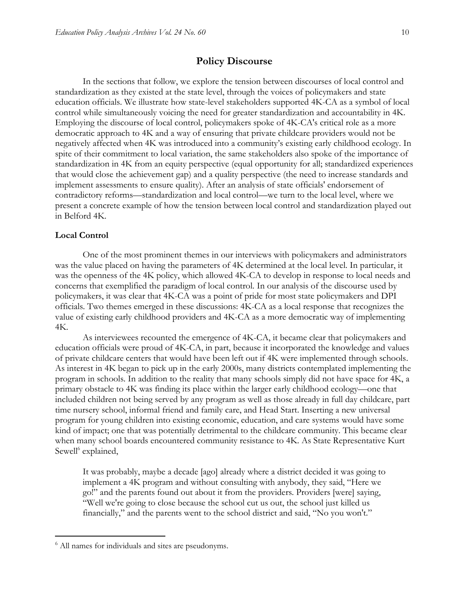#### **Policy Discourse**

In the sections that follow, we explore the tension between discourses of local control and standardization as they existed at the state level, through the voices of policymakers and state education officials. We illustrate how state-level stakeholders supported 4K-CA as a symbol of local control while simultaneously voicing the need for greater standardization and accountability in 4K. Employing the discourse of local control, policymakers spoke of 4K-CA's critical role as a more democratic approach to 4K and a way of ensuring that private childcare providers would not be negatively affected when 4K was introduced into a community's existing early childhood ecology. In spite of their commitment to local variation, the same stakeholders also spoke of the importance of standardization in 4K from an equity perspective (equal opportunity for all; standardized experiences that would close the achievement gap) and a quality perspective (the need to increase standards and implement assessments to ensure quality). After an analysis of state officials' endorsement of contradictory reforms—standardization and local control—we turn to the local level, where we present a concrete example of how the tension between local control and standardization played out in Belford 4K.

#### **Local Control**

 $\overline{a}$ 

One of the most prominent themes in our interviews with policymakers and administrators was the value placed on having the parameters of 4K determined at the local level. In particular, it was the openness of the 4K policy, which allowed 4K-CA to develop in response to local needs and concerns that exemplified the paradigm of local control. In our analysis of the discourse used by policymakers, it was clear that 4K-CA was a point of pride for most state policymakers and DPI officials. Two themes emerged in these discussions: 4K-CA as a local response that recognizes the value of existing early childhood providers and 4K-CA as a more democratic way of implementing 4K.

As interviewees recounted the emergence of 4K-CA, it became clear that policymakers and education officials were proud of 4K-CA, in part, because it incorporated the knowledge and values of private childcare centers that would have been left out if 4K were implemented through schools. As interest in 4K began to pick up in the early 2000s, many districts contemplated implementing the program in schools. In addition to the reality that many schools simply did not have space for 4K, a primary obstacle to 4K was finding its place within the larger early childhood ecology—one that included children not being served by any program as well as those already in full day childcare, part time nursery school, informal friend and family care, and Head Start. Inserting a new universal program for young children into existing economic, education, and care systems would have some kind of impact; one that was potentially detrimental to the childcare community. This became clear when many school boards encountered community resistance to 4K. As State Representative Kurt Sewell<sup>6</sup> explained,

It was probably, maybe a decade [ago] already where a district decided it was going to implement a 4K program and without consulting with anybody, they said, "Here we go!" and the parents found out about it from the providers. Providers [were] saying, "Well we're going to close because the school cut us out, the school just killed us financially," and the parents went to the school district and said, "No you won't."

<sup>6</sup> All names for individuals and sites are pseudonyms.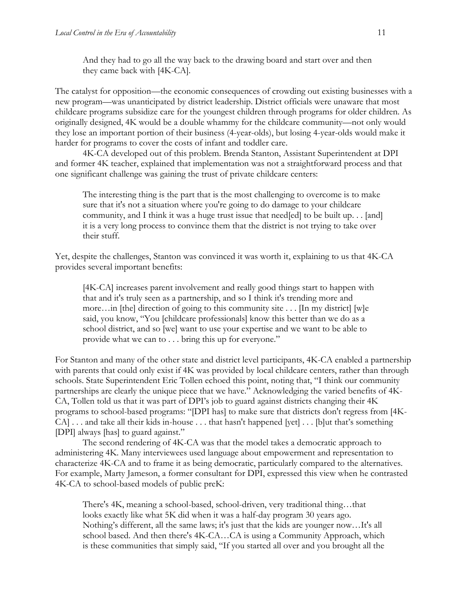And they had to go all the way back to the drawing board and start over and then they came back with [4K-CA].

The catalyst for opposition—the economic consequences of crowding out existing businesses with a new program—was unanticipated by district leadership. District officials were unaware that most childcare programs subsidize care for the youngest children through programs for older children. As originally designed, 4K would be a double whammy for the childcare community—not only would they lose an important portion of their business (4-year-olds), but losing 4-year-olds would make it harder for programs to cover the costs of infant and toddler care.

4K-CA developed out of this problem. Brenda Stanton, Assistant Superintendent at DPI and former 4K teacher, explained that implementation was not a straightforward process and that one significant challenge was gaining the trust of private childcare centers:

The interesting thing is the part that is the most challenging to overcome is to make sure that it's not a situation where you're going to do damage to your childcare community, and I think it was a huge trust issue that need[ed] to be built up. . . [and] it is a very long process to convince them that the district is not trying to take over their stuff.

Yet, despite the challenges, Stanton was convinced it was worth it, explaining to us that 4K-CA provides several important benefits:

[4K-CA] increases parent involvement and really good things start to happen with that and it's truly seen as a partnership, and so I think it's trending more and more…in [the] direction of going to this community site . . . [In my district] [w]e said, you know, "You [childcare professionals] know this better than we do as a school district, and so [we] want to use your expertise and we want to be able to provide what we can to . . . bring this up for everyone."

For Stanton and many of the other state and district level participants, 4K-CA enabled a partnership with parents that could only exist if 4K was provided by local childcare centers, rather than through schools. State Superintendent Eric Tollen echoed this point, noting that, "I think our community partnerships are clearly the unique piece that we have." Acknowledging the varied benefits of 4K-CA, Tollen told us that it was part of DPI's job to guard against districts changing their 4K programs to school-based programs: "[DPI has] to make sure that districts don't regress from [4K-CA] . . . and take all their kids in-house . . . that hasn't happened [yet] . . . [b]ut that's something [DPI] always [has] to guard against."

The second rendering of 4K-CA was that the model takes a democratic approach to administering 4K. Many interviewees used language about empowerment and representation to characterize 4K-CA and to frame it as being democratic, particularly compared to the alternatives. For example, Marty Jameson, a former consultant for DPI, expressed this view when he contrasted 4K-CA to school-based models of public preK:

There's 4K, meaning a school-based, school-driven, very traditional thing…that looks exactly like what 5K did when it was a half-day program 30 years ago. Nothing's different, all the same laws; it's just that the kids are younger now…It's all school based. And then there's 4K-CA…CA is using a Community Approach, which is these communities that simply said, "If you started all over and you brought all the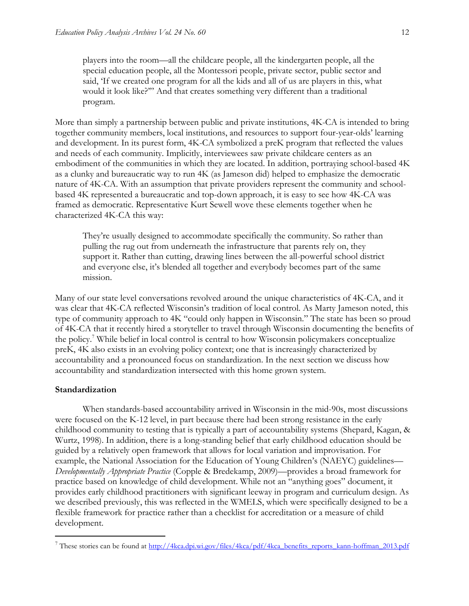players into the room—all the childcare people, all the kindergarten people, all the special education people, all the Montessori people, private sector, public sector and said, 'If we created one program for all the kids and all of us are players in this, what would it look like?'" And that creates something very different than a traditional program.

More than simply a partnership between public and private institutions, 4K-CA is intended to bring together community members, local institutions, and resources to support four-year-olds' learning and development. In its purest form, 4K-CA symbolized a preK program that reflected the values and needs of each community. Implicitly, interviewees saw private childcare centers as an embodiment of the communities in which they are located. In addition, portraying school-based 4K as a clunky and bureaucratic way to run 4K (as Jameson did) helped to emphasize the democratic nature of 4K-CA. With an assumption that private providers represent the community and schoolbased 4K represented a bureaucratic and top-down approach, it is easy to see how 4K-CA was framed as democratic. Representative Kurt Sewell wove these elements together when he characterized 4K-CA this way:

They're usually designed to accommodate specifically the community. So rather than pulling the rug out from underneath the infrastructure that parents rely on, they support it. Rather than cutting, drawing lines between the all-powerful school district and everyone else, it's blended all together and everybody becomes part of the same mission.

Many of our state level conversations revolved around the unique characteristics of 4K-CA, and it was clear that 4K-CA reflected Wisconsin's tradition of local control. As Marty Jameson noted, this type of community approach to 4K "could only happen in Wisconsin." The state has been so proud of 4K-CA that it recently hired a storyteller to travel through Wisconsin documenting the benefits of the policy.<sup>7</sup> While belief in local control is central to how Wisconsin policymakers conceptualize preK, 4K also exists in an evolving policy context; one that is increasingly characterized by accountability and a pronounced focus on standardization. In the next section we discuss how accountability and standardization intersected with this home grown system.

#### **Standardization**

 $\overline{a}$ 

When standards-based accountability arrived in Wisconsin in the mid-90s, most discussions were focused on the K-12 level, in part because there had been strong resistance in the early childhood community to testing that is typically a part of accountability systems (Shepard, Kagan, & Wurtz, 1998). In addition, there is a long-standing belief that early childhood education should be guided by a relatively open framework that allows for local variation and improvisation. For example, the National Association for the Education of Young Children's (NAEYC) guidelines— *Developmentally Appropriate Practice* (Copple & Bredekamp, 2009)—provides a broad framework for practice based on knowledge of child development. While not an "anything goes" document, it provides early childhood practitioners with significant leeway in program and curriculum design. As we described previously, this was reflected in the WMELS, which were specifically designed to be a flexible framework for practice rather than a checklist for accreditation or a measure of child development.

<sup>&</sup>lt;sup>7</sup> These stories can be found at [http://4kca.dpi.wi.gov/files/4kca/pdf/4kca\\_benefits\\_reports\\_kann-hoffman\\_2013.pdf](http://4kca.dpi.wi.gov/files/4kca/pdf/4kca_benefits_reports_kann-hoffman_2013.pdf)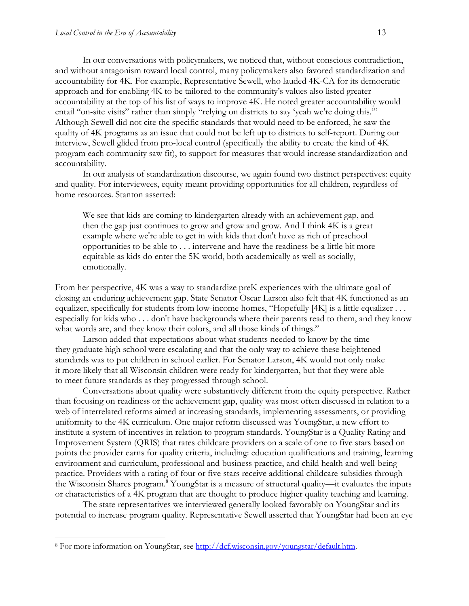In our conversations with policymakers, we noticed that, without conscious contradiction, and without antagonism toward local control, many policymakers also favored standardization and accountability for 4K. For example, Representative Sewell, who lauded 4K-CA for its democratic approach and for enabling 4K to be tailored to the community's values also listed greater accountability at the top of his list of ways to improve 4K. He noted greater accountability would entail "on-site visits" rather than simply "relying on districts to say 'yeah we're doing this."" Although Sewell did not cite the specific standards that would need to be enforced, he saw the quality of 4K programs as an issue that could not be left up to districts to self-report. During our interview, Sewell glided from pro-local control (specifically the ability to create the kind of 4K program each community saw fit), to support for measures that would increase standardization and accountability.

In our analysis of standardization discourse, we again found two distinct perspectives: equity and quality. For interviewees, equity meant providing opportunities for all children, regardless of home resources. Stanton asserted:

We see that kids are coming to kindergarten already with an achievement gap, and then the gap just continues to grow and grow and grow. And I think 4K is a great example where we're able to get in with kids that don't have as rich of preschool opportunities to be able to . . . intervene and have the readiness be a little bit more equitable as kids do enter the 5K world, both academically as well as socially, emotionally.

From her perspective, 4K was a way to standardize preK experiences with the ultimate goal of closing an enduring achievement gap. State Senator Oscar Larson also felt that 4K functioned as an equalizer, specifically for students from low-income homes, "Hopefully [4K] is a little equalizer . . . especially for kids who . . . don't have backgrounds where their parents read to them, and they know what words are, and they know their colors, and all those kinds of things."

Larson added that expectations about what students needed to know by the time they graduate high school were escalating and that the only way to achieve these heightened standards was to put children in school earlier. For Senator Larson, 4K would not only make it more likely that all Wisconsin children were ready for kindergarten, but that they were able to meet future standards as they progressed through school.

Conversations about quality were substantively different from the equity perspective. Rather than focusing on readiness or the achievement gap, quality was most often discussed in relation to a web of interrelated reforms aimed at increasing standards, implementing assessments, or providing uniformity to the 4K curriculum. One major reform discussed was YoungStar, a new effort to institute a system of incentives in relation to program standards. YoungStar is a Quality Rating and Improvement System (QRIS) that rates childcare providers on a scale of one to five stars based on points the provider earns for quality criteria, including: education qualifications and training, learning environment and curriculum, professional and business practice, and child health and well-being practice. Providers with a rating of four or five stars receive additional childcare subsidies through the Wisconsin Shares program.<sup>8</sup> YoungStar is a measure of structural quality—it evaluates the inputs or characteristics of a 4K program that are thought to produce higher quality teaching and learning.

The state representatives we interviewed generally looked favorably on YoungStar and its potential to increase program quality. Representative Sewell asserted that YoungStar had been an eye

 $\overline{a}$ 

<sup>8</sup> For more information on YoungStar, see [http://dcf.wisconsin.gov/youngstar/default.htm.](http://dcf.wisconsin.gov/youngstar/default.htm)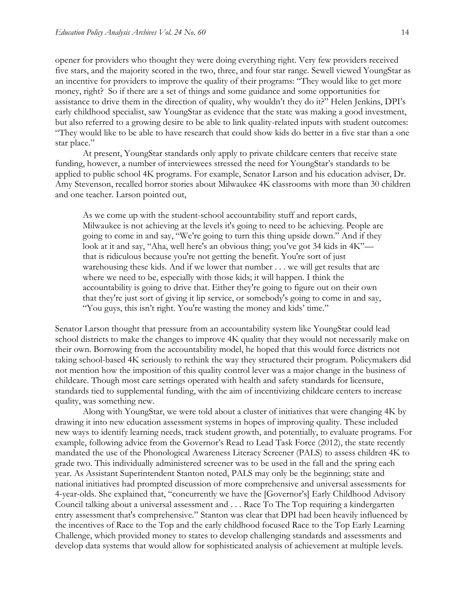opener for providers who thought they were doing everything right. Very few providers received five stars, and the majority scored in the two, three, and four star range. Sewell viewed YoungStar as an incentive for providers to improve the quality of their programs: "They would like to get more money, right? So if there are a set of things and some guidance and some opportunities for assistance to drive them in the direction of quality, why wouldn't they do it?" Helen Jenkins, DPI's early childhood specialist, saw YoungStar as evidence that the state was making a good investment, but also referred to a growing desire to be able to link quality-related inputs with student outcomes: "They would like to be able to have research that could show kids do better in a five star than a one star place."

At present, YoungStar standards only apply to private childcare centers that receive state funding, however, a number of interviewees stressed the need for YoungStar's standards to be applied to public school 4K programs. For example, Senator Larson and his education adviser, Dr. Amy Stevenson, recalled horror stories about Milwaukee 4K classrooms with more than 30 children and one teacher. Larson pointed out,

As we come up with the student-school accountability stuff and report cards, Milwaukee is not achieving at the levels it's going to need to be achieving. People are going to come in and say, "We're going to turn this thing upside down." And if they look at it and say, "Aha, well here's an obvious thing; you've got 34 kids in 4K" that is ridiculous because you're not getting the benefit. You're sort of just warehousing these kids. And if we lower that number . . . we will get results that are where we need to be, especially with those kids; it will happen. I think the accountability is going to drive that. Either they're going to figure out on their own that they're just sort of giving it lip service, or somebody's going to come in and say, "You guys, this isn't right. You're wasting the money and kids' time."

Senator Larson thought that pressure from an accountability system like YoungStar could lead school districts to make the changes to improve 4K quality that they would not necessarily make on their own. Borrowing from the accountability model, he hoped that this would force districts not taking school-based 4K seriously to rethink the way they structured their program. Policymakers did not mention how the imposition of this quality control lever was a major change in the business of childcare. Though most care settings operated with health and safety standards for licensure, standards tied to supplemental funding, with the aim of incentivizing childcare centers to increase quality, was something new.

Along with YoungStar, we were told about a cluster of initiatives that were changing 4K by drawing it into new education assessment systems in hopes of improving quality. These included new ways to identify learning needs, track student growth, and potentially, to evaluate programs. For example, following advice from the Governor's Read to Lead Task Force (2012), the state recently mandated the use of the Phonological Awareness Literacy Screener (PALS) to assess children 4K to grade two. This individually administered screener was to be used in the fall and the spring each year. As Assistant Superintendent Stanton noted, PALS may only be the beginning; state and national initiatives had prompted discussion of more comprehensive and universal assessments for 4-year-olds. She explained that, "concurrently we have the [Governor's] Early Childhood Advisory Council talking about a universal assessment and . . . Race To The Top requiring a kindergarten entry assessment that's comprehensive." Stanton was clear that DPI had been heavily influenced by the incentives of Race to the Top and the early childhood focused Race to the Top Early Learning Challenge, which provided money to states to develop challenging standards and assessments and develop data systems that would allow for sophisticated analysis of achievement at multiple levels.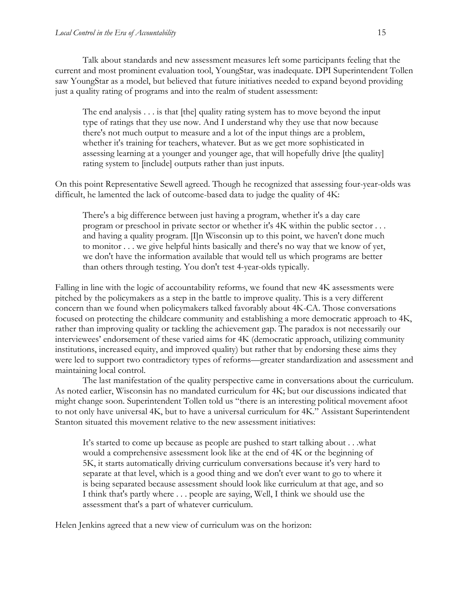Talk about standards and new assessment measures left some participants feeling that the current and most prominent evaluation tool, YoungStar, was inadequate. DPI Superintendent Tollen saw YoungStar as a model, but believed that future initiatives needed to expand beyond providing just a quality rating of programs and into the realm of student assessment:

The end analysis . . . is that [the] quality rating system has to move beyond the input type of ratings that they use now. And I understand why they use that now because there's not much output to measure and a lot of the input things are a problem, whether it's training for teachers, whatever. But as we get more sophisticated in assessing learning at a younger and younger age, that will hopefully drive [the quality] rating system to [include] outputs rather than just inputs.

On this point Representative Sewell agreed. Though he recognized that assessing four-year-olds was difficult, he lamented the lack of outcome-based data to judge the quality of 4K:

There's a big difference between just having a program, whether it's a day care program or preschool in private sector or whether it's 4K within the public sector . . . and having a quality program. [I]n Wisconsin up to this point, we haven't done much to monitor . . . we give helpful hints basically and there's no way that we know of yet, we don't have the information available that would tell us which programs are better than others through testing. You don't test 4-year-olds typically.

Falling in line with the logic of accountability reforms, we found that new 4K assessments were pitched by the policymakers as a step in the battle to improve quality. This is a very different concern than we found when policymakers talked favorably about 4K-CA. Those conversations focused on protecting the childcare community and establishing a more democratic approach to 4K, rather than improving quality or tackling the achievement gap. The paradox is not necessarily our interviewees' endorsement of these varied aims for 4K (democratic approach, utilizing community institutions, increased equity, and improved quality) but rather that by endorsing these aims they were led to support two contradictory types of reforms—greater standardization and assessment and maintaining local control.

The last manifestation of the quality perspective came in conversations about the curriculum. As noted earlier, Wisconsin has no mandated curriculum for 4K; but our discussions indicated that might change soon. Superintendent Tollen told us "there is an interesting political movement afoot to not only have universal 4K, but to have a universal curriculum for 4K." Assistant Superintendent Stanton situated this movement relative to the new assessment initiatives:

It's started to come up because as people are pushed to start talking about . . .what would a comprehensive assessment look like at the end of 4K or the beginning of 5K, it starts automatically driving curriculum conversations because it's very hard to separate at that level, which is a good thing and we don't ever want to go to where it is being separated because assessment should look like curriculum at that age, and so I think that's partly where . . . people are saying, Well, I think we should use the assessment that's a part of whatever curriculum.

Helen Jenkins agreed that a new view of curriculum was on the horizon: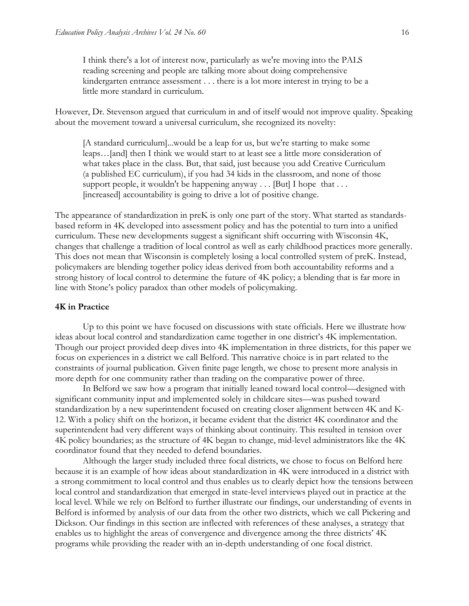I think there's a lot of interest now, particularly as we're moving into the PALS reading screening and people are talking more about doing comprehensive kindergarten entrance assessment . . . there is a lot more interest in trying to be a little more standard in curriculum.

However, Dr. Stevenson argued that curriculum in and of itself would not improve quality. Speaking about the movement toward a universal curriculum, she recognized its novelty:

[A standard curriculum]...would be a leap for us, but we're starting to make some leaps…[and] then I think we would start to at least see a little more consideration of what takes place in the class. But, that said, just because you add Creative Curriculum (a published EC curriculum), if you had 34 kids in the classroom, and none of those support people, it wouldn't be happening anyway  $\dots$  [But] I hope that  $\dots$ [increased] accountability is going to drive a lot of positive change.

The appearance of standardization in preK is only one part of the story. What started as standardsbased reform in 4K developed into assessment policy and has the potential to turn into a unified curriculum. These new developments suggest a significant shift occurring with Wisconsin 4K, changes that challenge a tradition of local control as well as early childhood practices more generally. This does not mean that Wisconsin is completely losing a local controlled system of preK. Instead, policymakers are blending together policy ideas derived from both accountability reforms and a strong history of local control to determine the future of 4K policy; a blending that is far more in line with Stone's policy paradox than other models of policymaking.

#### **4K in Practice**

Up to this point we have focused on discussions with state officials. Here we illustrate how ideas about local control and standardization came together in one district's 4K implementation. Though our project provided deep dives into 4K implementation in three districts, for this paper we focus on experiences in a district we call Belford. This narrative choice is in part related to the constraints of journal publication. Given finite page length, we chose to present more analysis in more depth for one community rather than trading on the comparative power of three.

In Belford we saw how a program that initially leaned toward local control—designed with significant community input and implemented solely in childcare sites—was pushed toward standardization by a new superintendent focused on creating closer alignment between 4K and K-12. With a policy shift on the horizon, it became evident that the district 4K coordinator and the superintendent had very different ways of thinking about continuity. This resulted in tension over 4K policy boundaries; as the structure of 4K began to change, mid-level administrators like the 4K coordinator found that they needed to defend boundaries.

Although the larger study included three focal districts, we chose to focus on Belford here because it is an example of how ideas about standardization in 4K were introduced in a district with a strong commitment to local control and thus enables us to clearly depict how the tensions between local control and standardization that emerged in state-level interviews played out in practice at the local level. While we rely on Belford to further illustrate our findings, our understanding of events in Belford is informed by analysis of our data from the other two districts, which we call Pickering and Dickson. Our findings in this section are inflected with references of these analyses, a strategy that enables us to highlight the areas of convergence and divergence among the three districts' 4K programs while providing the reader with an in-depth understanding of one focal district.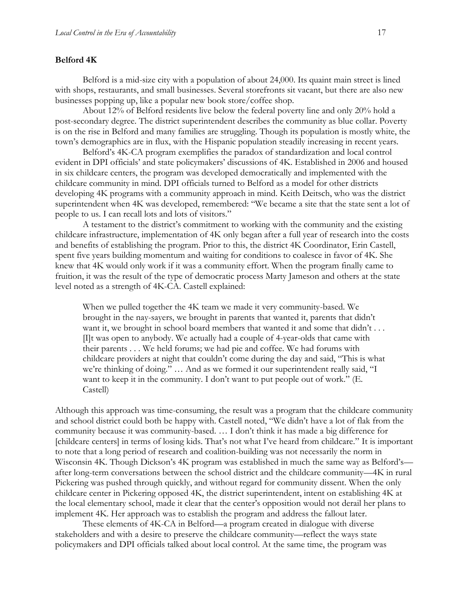#### **Belford 4K**

Belford is a mid-size city with a population of about 24,000. Its quaint main street is lined with shops, restaurants, and small businesses. Several storefronts sit vacant, but there are also new businesses popping up, like a popular new book store/coffee shop.

About 12% of Belford residents live below the federal poverty line and only 20% hold a post-secondary degree. The district superintendent describes the community as blue collar. Poverty is on the rise in Belford and many families are struggling. Though its population is mostly white, the town's demographics are in flux, with the Hispanic population steadily increasing in recent years.

Belford's 4K-CA program exemplifies the paradox of standardization and local control evident in DPI officials' and state policymakers' discussions of 4K. Established in 2006 and housed in six childcare centers, the program was developed democratically and implemented with the childcare community in mind. DPI officials turned to Belford as a model for other districts developing 4K programs with a community approach in mind. Keith Deitsch, who was the district superintendent when 4K was developed, remembered: "We became a site that the state sent a lot of people to us. I can recall lots and lots of visitors."

A testament to the district's commitment to working with the community and the existing childcare infrastructure, implementation of 4K only began after a full year of research into the costs and benefits of establishing the program. Prior to this, the district 4K Coordinator, Erin Castell, spent five years building momentum and waiting for conditions to coalesce in favor of 4K. She knew that 4K would only work if it was a community effort. When the program finally came to fruition, it was the result of the type of democratic process Marty Jameson and others at the state level noted as a strength of 4K-CA. Castell explained:

When we pulled together the 4K team we made it very community-based. We brought in the nay-sayers, we brought in parents that wanted it, parents that didn't want it, we brought in school board members that wanted it and some that didn't ... [I]t was open to anybody. We actually had a couple of 4-year-olds that came with their parents . . . We held forums; we had pie and coffee. We had forums with childcare providers at night that couldn't come during the day and said, "This is what we're thinking of doing." … And as we formed it our superintendent really said, "I want to keep it in the community. I don't want to put people out of work." (E. Castell)

Although this approach was time-consuming, the result was a program that the childcare community and school district could both be happy with. Castell noted, "We didn't have a lot of flak from the community because it was community-based. … I don't think it has made a big difference for [childcare centers] in terms of losing kids. That's not what I've heard from childcare." It is important to note that a long period of research and coalition-building was not necessarily the norm in Wisconsin 4K. Though Dickson's 4K program was established in much the same way as Belford's after long-term conversations between the school district and the childcare community—4K in rural Pickering was pushed through quickly, and without regard for community dissent. When the only childcare center in Pickering opposed 4K, the district superintendent, intent on establishing 4K at the local elementary school, made it clear that the center's opposition would not derail her plans to implement 4K. Her approach was to establish the program and address the fallout later.

These elements of 4K-CA in Belford—a program created in dialogue with diverse stakeholders and with a desire to preserve the childcare community—reflect the ways state policymakers and DPI officials talked about local control. At the same time, the program was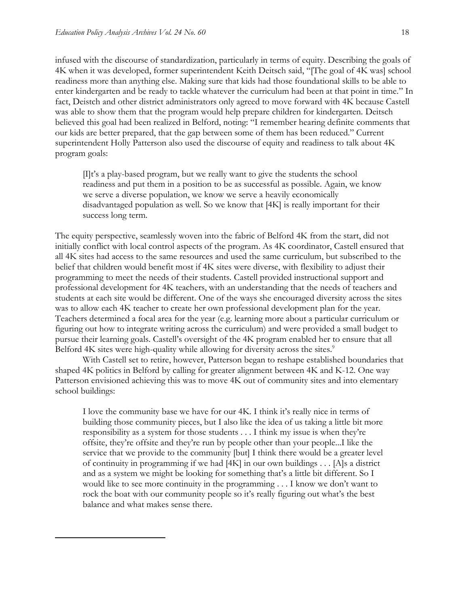$\overline{a}$ 

infused with the discourse of standardization, particularly in terms of equity. Describing the goals of 4K when it was developed, former superintendent Keith Deitsch said, "[The goal of 4K was] school readiness more than anything else. Making sure that kids had those foundational skills to be able to enter kindergarten and be ready to tackle whatever the curriculum had been at that point in time." In fact, Deistch and other district administrators only agreed to move forward with 4K because Castell was able to show them that the program would help prepare children for kindergarten. Deitsch believed this goal had been realized in Belford, noting: "I remember hearing definite comments that our kids are better prepared, that the gap between some of them has been reduced." Current superintendent Holly Patterson also used the discourse of equity and readiness to talk about 4K program goals:

[I]t's a play-based program, but we really want to give the students the school readiness and put them in a position to be as successful as possible. Again, we know we serve a diverse population, we know we serve a heavily economically disadvantaged population as well. So we know that [4K] is really important for their success long term.

The equity perspective, seamlessly woven into the fabric of Belford 4K from the start, did not initially conflict with local control aspects of the program. As 4K coordinator, Castell ensured that all 4K sites had access to the same resources and used the same curriculum, but subscribed to the belief that children would benefit most if 4K sites were diverse, with flexibility to adjust their programming to meet the needs of their students. Castell provided instructional support and professional development for 4K teachers, with an understanding that the needs of teachers and students at each site would be different. One of the ways she encouraged diversity across the sites was to allow each 4K teacher to create her own professional development plan for the year. Teachers determined a focal area for the year (e.g. learning more about a particular curriculum or figuring out how to integrate writing across the curriculum) and were provided a small budget to pursue their learning goals. Castell's oversight of the 4K program enabled her to ensure that all Belford 4K sites were high-quality while allowing for diversity across the sites.<sup>9</sup>

With Castell set to retire, however, Patterson began to reshape established boundaries that shaped 4K politics in Belford by calling for greater alignment between 4K and K-12. One way Patterson envisioned achieving this was to move 4K out of community sites and into elementary school buildings:

I love the community base we have for our 4K. I think it's really nice in terms of building those community pieces, but I also like the idea of us taking a little bit more responsibility as a system for those students . . . I think my issue is when they're offsite, they're offsite and they're run by people other than your people...I like the service that we provide to the community [but] I think there would be a greater level of continuity in programming if we had [4K] in our own buildings . . . [A]s a district and as a system we might be looking for something that's a little bit different. So I would like to see more continuity in the programming . . . I know we don't want to rock the boat with our community people so it's really figuring out what's the best balance and what makes sense there.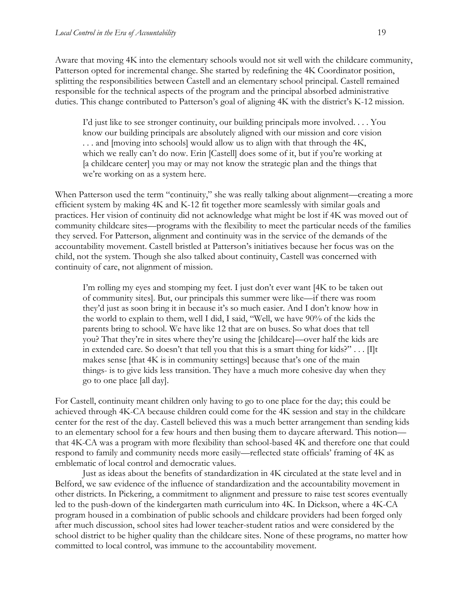Aware that moving 4K into the elementary schools would not sit well with the childcare community, Patterson opted for incremental change. She started by redefining the 4K Coordinator position, splitting the responsibilities between Castell and an elementary school principal. Castell remained responsible for the technical aspects of the program and the principal absorbed administrative duties. This change contributed to Patterson's goal of aligning 4K with the district's K-12 mission.

I'd just like to see stronger continuity, our building principals more involved. . . . You know our building principals are absolutely aligned with our mission and core vision . . . and [moving into schools] would allow us to align with that through the 4K, which we really can't do now. Erin [Castell] does some of it, but if you're working at [a childcare center] you may or may not know the strategic plan and the things that we're working on as a system here.

When Patterson used the term "continuity," she was really talking about alignment—creating a more efficient system by making 4K and K-12 fit together more seamlessly with similar goals and practices. Her vision of continuity did not acknowledge what might be lost if 4K was moved out of community childcare sites—programs with the flexibility to meet the particular needs of the families they served. For Patterson, alignment and continuity was in the service of the demands of the accountability movement. Castell bristled at Patterson's initiatives because her focus was on the child, not the system. Though she also talked about continuity, Castell was concerned with continuity of care, not alignment of mission.

I'm rolling my eyes and stomping my feet. I just don't ever want [4K to be taken out of community sites]. But, our principals this summer were like—if there was room they'd just as soon bring it in because it's so much easier. And I don't know how in the world to explain to them, well I did, I said, "Well, we have 90% of the kids the parents bring to school. We have like 12 that are on buses. So what does that tell you? That they're in sites where they're using the [childcare]—over half the kids are in extended care. So doesn't that tell you that this is a smart thing for kids?"  $\dots$  [I]t makes sense [that 4K is in community settings] because that's one of the main things- is to give kids less transition. They have a much more cohesive day when they go to one place [all day].

For Castell, continuity meant children only having to go to one place for the day; this could be achieved through 4K-CA because children could come for the 4K session and stay in the childcare center for the rest of the day. Castell believed this was a much better arrangement than sending kids to an elementary school for a few hours and then busing them to daycare afterward. This notion that 4K-CA was a program with more flexibility than school-based 4K and therefore one that could respond to family and community needs more easily—reflected state officials' framing of 4K as emblematic of local control and democratic values.

Just as ideas about the benefits of standardization in 4K circulated at the state level and in Belford, we saw evidence of the influence of standardization and the accountability movement in other districts. In Pickering, a commitment to alignment and pressure to raise test scores eventually led to the push-down of the kindergarten math curriculum into 4K. In Dickson, where a 4K-CA program housed in a combination of public schools and childcare providers had been forged only after much discussion, school sites had lower teacher-student ratios and were considered by the school district to be higher quality than the childcare sites. None of these programs, no matter how committed to local control, was immune to the accountability movement.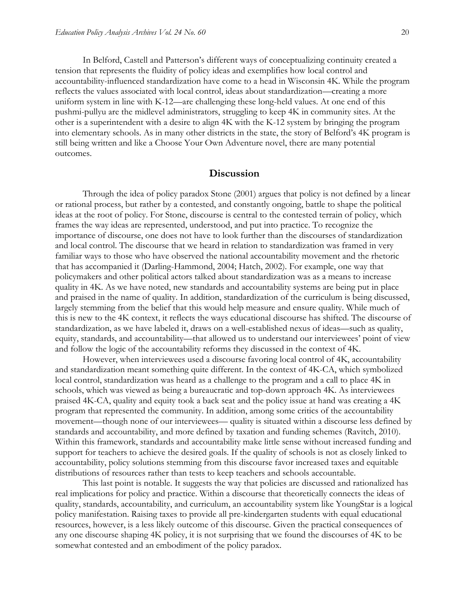In Belford, Castell and Patterson's different ways of conceptualizing continuity created a tension that represents the fluidity of policy ideas and exemplifies how local control and accountability-influenced standardization have come to a head in Wisconsin 4K. While the program reflects the values associated with local control, ideas about standardization—creating a more uniform system in line with K-12—are challenging these long-held values. At one end of this pushmi-pullyu are the midlevel administrators, struggling to keep 4K in community sites. At the other is a superintendent with a desire to align 4K with the K-12 system by bringing the program into elementary schools. As in many other districts in the state, the story of Belford's 4K program is still being written and like a Choose Your Own Adventure novel, there are many potential outcomes.

#### **Discussion**

Through the idea of policy paradox Stone (2001) argues that policy is not defined by a linear or rational process, but rather by a contested, and constantly ongoing, battle to shape the political ideas at the root of policy. For Stone, discourse is central to the contested terrain of policy, which frames the way ideas are represented, understood, and put into practice. To recognize the importance of discourse, one does not have to look further than the discourses of standardization and local control. The discourse that we heard in relation to standardization was framed in very familiar ways to those who have observed the national accountability movement and the rhetoric that has accompanied it (Darling-Hammond, 2004; Hatch, 2002). For example, one way that policymakers and other political actors talked about standardization was as a means to increase quality in 4K. As we have noted, new standards and accountability systems are being put in place and praised in the name of quality. In addition, standardization of the curriculum is being discussed, largely stemming from the belief that this would help measure and ensure quality. While much of this is new to the 4K context, it reflects the ways educational discourse has shifted. The discourse of standardization, as we have labeled it, draws on a well-established nexus of ideas—such as quality, equity, standards, and accountability—that allowed us to understand our interviewees' point of view and follow the logic of the accountability reforms they discussed in the context of 4K.

However, when interviewees used a discourse favoring local control of 4K, accountability and standardization meant something quite different. In the context of 4K-CA, which symbolized local control, standardization was heard as a challenge to the program and a call to place 4K in schools, which was viewed as being a bureaucratic and top-down approach 4K. As interviewees praised 4K-CA, quality and equity took a back seat and the policy issue at hand was creating a 4K program that represented the community. In addition, among some critics of the accountability movement—though none of our interviewees— quality is situated within a discourse less defined by standards and accountability, and more defined by taxation and funding schemes (Ravitch, 2010). Within this framework, standards and accountability make little sense without increased funding and support for teachers to achieve the desired goals. If the quality of schools is not as closely linked to accountability, policy solutions stemming from this discourse favor increased taxes and equitable distributions of resources rather than tests to keep teachers and schools accountable.

This last point is notable. It suggests the way that policies are discussed and rationalized has real implications for policy and practice. Within a discourse that theoretically connects the ideas of quality, standards, accountability, and curriculum, an accountability system like YoungStar is a logical policy manifestation. Raising taxes to provide all pre-kindergarten students with equal educational resources, however, is a less likely outcome of this discourse. Given the practical consequences of any one discourse shaping 4K policy, it is not surprising that we found the discourses of 4K to be somewhat contested and an embodiment of the policy paradox.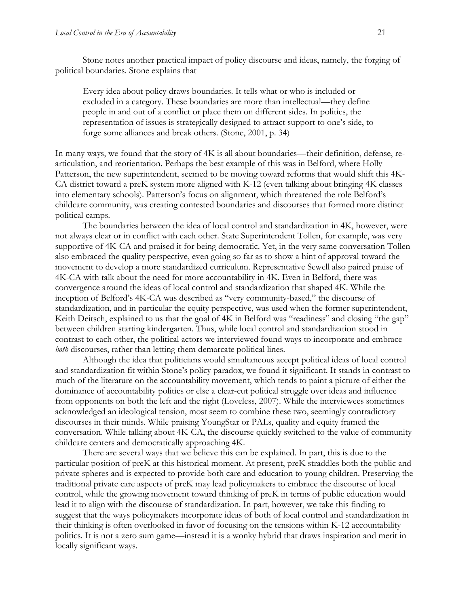Stone notes another practical impact of policy discourse and ideas, namely, the forging of political boundaries. Stone explains that

Every idea about policy draws boundaries. It tells what or who is included or excluded in a category. These boundaries are more than intellectual—they define people in and out of a conflict or place them on different sides. In politics, the representation of issues is strategically designed to attract support to one's side, to forge some alliances and break others. (Stone, 2001, p. 34)

In many ways, we found that the story of 4K is all about boundaries—their definition, defense, rearticulation, and reorientation. Perhaps the best example of this was in Belford, where Holly Patterson, the new superintendent, seemed to be moving toward reforms that would shift this 4K-CA district toward a preK system more aligned with K-12 (even talking about bringing 4K classes into elementary schools). Patterson's focus on alignment, which threatened the role Belford's childcare community, was creating contested boundaries and discourses that formed more distinct political camps.

The boundaries between the idea of local control and standardization in 4K, however, were not always clear or in conflict with each other. State Superintendent Tollen, for example, was very supportive of 4K-CA and praised it for being democratic. Yet, in the very same conversation Tollen also embraced the quality perspective, even going so far as to show a hint of approval toward the movement to develop a more standardized curriculum. Representative Sewell also paired praise of 4K-CA with talk about the need for more accountability in 4K. Even in Belford, there was convergence around the ideas of local control and standardization that shaped 4K. While the inception of Belford's 4K-CA was described as "very community-based," the discourse of standardization, and in particular the equity perspective, was used when the former superintendent, Keith Deitsch, explained to us that the goal of 4K in Belford was "readiness" and closing "the gap" between children starting kindergarten. Thus, while local control and standardization stood in contrast to each other, the political actors we interviewed found ways to incorporate and embrace *both* discourses, rather than letting them demarcate political lines.

Although the idea that politicians would simultaneous accept political ideas of local control and standardization fit within Stone's policy paradox, we found it significant. It stands in contrast to much of the literature on the accountability movement, which tends to paint a picture of either the dominance of accountability politics or else a clear-cut political struggle over ideas and influence from opponents on both the left and the right (Loveless, 2007). While the interviewees sometimes acknowledged an ideological tension, most seem to combine these two, seemingly contradictory discourses in their minds. While praising YoungStar or PALs, quality and equity framed the conversation. While talking about 4K-CA, the discourse quickly switched to the value of community childcare centers and democratically approaching 4K.

There are several ways that we believe this can be explained. In part, this is due to the particular position of preK at this historical moment. At present, preK straddles both the public and private spheres and is expected to provide both care and education to young children. Preserving the traditional private care aspects of preK may lead policymakers to embrace the discourse of local control, while the growing movement toward thinking of preK in terms of public education would lead it to align with the discourse of standardization. In part, however, we take this finding to suggest that the ways policymakers incorporate ideas of both of local control and standardization in their thinking is often overlooked in favor of focusing on the tensions within K-12 accountability politics. It is not a zero sum game—instead it is a wonky hybrid that draws inspiration and merit in locally significant ways.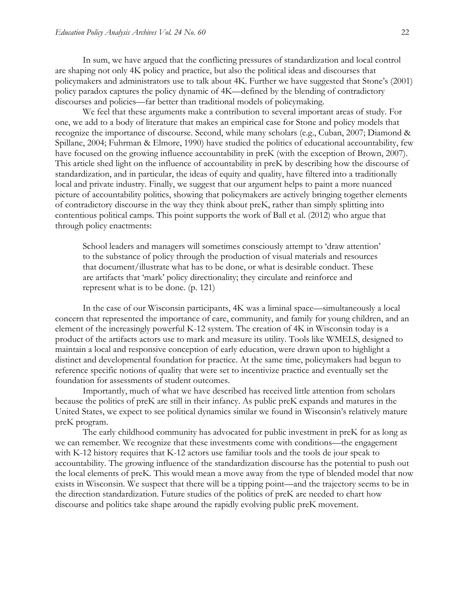In sum, we have argued that the conflicting pressures of standardization and local control are shaping not only 4K policy and practice, but also the political ideas and discourses that policymakers and administrators use to talk about 4K. Further we have suggested that Stone's (2001) policy paradox captures the policy dynamic of 4K—defined by the blending of contradictory discourses and policies—far better than traditional models of policymaking.

We feel that these arguments make a contribution to several important areas of study. For one, we add to a body of literature that makes an empirical case for Stone and policy models that recognize the importance of discourse. Second, while many scholars (e.g., Cuban, 2007; Diamond & Spillane, 2004; Fuhrman & Elmore, 1990) have studied the politics of educational accountability, few have focused on the growing influence accountability in preK (with the exception of Brown, 2007). This article shed light on the influence of accountability in preK by describing how the discourse of standardization, and in particular, the ideas of equity and quality, have filtered into a traditionally local and private industry. Finally, we suggest that our argument helps to paint a more nuanced picture of accountability politics, showing that policymakers are actively bringing together elements of contradictory discourse in the way they think about preK, rather than simply splitting into contentious political camps. This point supports the work of Ball et al. (2012) who argue that through policy enactments:

School leaders and managers will sometimes consciously attempt to 'draw attention' to the substance of policy through the production of visual materials and resources that document/illustrate what has to be done, or what is desirable conduct. These are artifacts that 'mark' policy directionality; they circulate and reinforce and represent what is to be done. (p. 121)

In the case of our Wisconsin participants, 4K was a liminal space—simultaneously a local concern that represented the importance of care, community, and family for young children, and an element of the increasingly powerful K-12 system. The creation of 4K in Wisconsin today is a product of the artifacts actors use to mark and measure its utility. Tools like WMELS, designed to maintain a local and responsive conception of early education, were drawn upon to highlight a distinct and developmental foundation for practice. At the same time, policymakers had begun to reference specific notions of quality that were set to incentivize practice and eventually set the foundation for assessments of student outcomes.

Importantly, much of what we have described has received little attention from scholars because the politics of preK are still in their infancy. As public preK expands and matures in the United States, we expect to see political dynamics similar we found in Wisconsin's relatively mature preK program.

The early childhood community has advocated for public investment in preK for as long as we can remember. We recognize that these investments come with conditions—the engagement with K-12 history requires that K-12 actors use familiar tools and the tools de jour speak to accountability. The growing influence of the standardization discourse has the potential to push out the local elements of preK. This would mean a move away from the type of blended model that now exists in Wisconsin. We suspect that there will be a tipping point—and the trajectory seems to be in the direction standardization. Future studies of the politics of preK are needed to chart how discourse and politics take shape around the rapidly evolving public preK movement.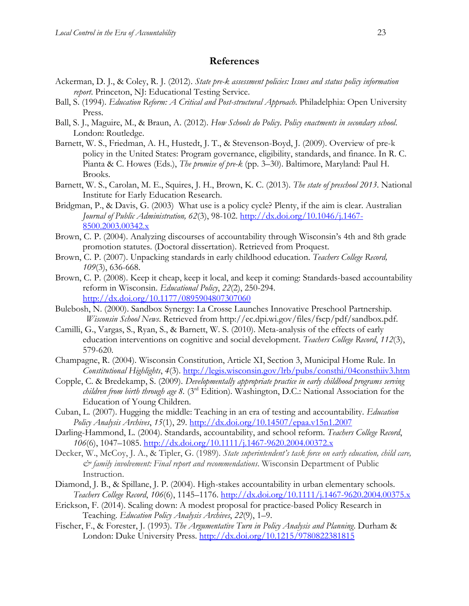#### **References**

- Ackerman, D. J., & Coley, R. J. (2012). *State pre-k assessment policies: Issues and status policy information report*. Princeton, NJ: Educational Testing Service.
- Ball, S. (1994). *Education Reform: A Critical and Post-structural Approach*. Philadelphia: Open University Press.
- Ball, S. J., Maguire, M., & Braun, A. (2012). *How Schools do Policy*. *Policy enactments in secondary school*. London: Routledge.
- Barnett, W. S., Friedman, A. H., Hustedt, J. T., & Stevenson-Boyd, J. (2009). Overview of pre-k policy in the United States: Program governance, eligibility, standards, and finance. In R. C. Pianta & C. Howes (Eds.), *The promise of pre-k* (pp. 3–30). Baltimore, Maryland: Paul H. Brooks.
- Barnett, W. S., Carolan, M. E., Squires, J. H., Brown, K. C. (2013). *The state of preschool 2013*. National Institute for Early Education Research.
- Bridgman, P., & Davis, G. (2003) What use is a policy cycle? Plenty, if the aim is clear. Australian *Journal of Public Administration, 62*(3), 98-102. [http://dx.doi.org/10.1046/j.1467-](http://dx.doi.org/10.1046/j.1467-8500.2003.00342.x) [8500.2003.00342.x](http://dx.doi.org/10.1046/j.1467-8500.2003.00342.x)
- Brown, C. P. (2004). Analyzing discourses of accountability through Wisconsin's 4th and 8th grade promotion statutes. (Doctoral dissertation). Retrieved from Proquest.
- Brown, C. P. (2007). Unpacking standards in early childhood education. *Teachers College Record, 109*(3), 636-668.
- Brown, C. P. (2008). Keep it cheap, keep it local, and keep it coming: Standards-based accountability reform in Wisconsin. *Educational Policy*, *22*(2), 250-294. <http://dx.doi.org/10.1177/0895904807307060>
- Bulebosh, N. (2000). Sandbox Synergy: La Crosse Launches Innovative Preschool Partnership. *Wisconsin School News*. Retrieved from http://ec.dpi.wi.gov/files/fscp/pdf/sandbox.pdf.
- Camilli, G., Vargas, S., Ryan, S., & Barnett, W. S. (2010). Meta-analysis of the effects of early education interventions on cognitive and social development. *Teachers College Record*, *112*(3), 579-620.
- Champagne, R. (2004). Wisconsin Constitution, Article XI, Section 3, Municipal Home Rule. In *Constitutional Highlights*, *4*(3).<http://legis.wisconsin.gov/lrb/pubs/consthi/04consthiiv3.htm>
- Copple, C. & Bredekamp, S. (2009). *Developmentally appropriate practice in early childhood programs serving children from birth through age 8.* (3rd Edition)*.* Washington, D.C.: National Association for the Education of Young Children.
- Cuban, L. (2007). Hugging the middle: Teaching in an era of testing and accountability. *Education Policy Analysis Archives*, *15*(1), 29.<http://dx.doi.org/10.14507/epaa.v15n1.2007>
- Darling-Hammond, L. (2004). Standards, accountability, and school reform. *Teachers College Record*, *106*(6), 1047–1085.<http://dx.doi.org/10.1111/j.1467-9620.2004.00372.x>
- Decker, W., McCoy, J. A., & Tipler, G. (1989). *State superintendent's task force on early education, child care, & family involvement: Final report and recommendations*. Wisconsin Department of Public Instruction.
- Diamond, J. B., & Spillane, J. P. (2004). High-stakes accountability in urban elementary schools. *Teachers College Record*, *106*(6), 1145–1176.<http://dx.doi.org/10.1111/j.1467-9620.2004.00375.x>
- Erickson, F. (2014). Scaling down: A modest proposal for practice-based Policy Research in Teaching. *Education Policy Analysis Archives*, *22*(9), 1–9.
- Fischer, F., & Forester, J. (1993). *The Argumentative Turn in Policy Analysis and Planning*. Durham & London: Duke University Press. <http://dx.doi.org/10.1215/9780822381815>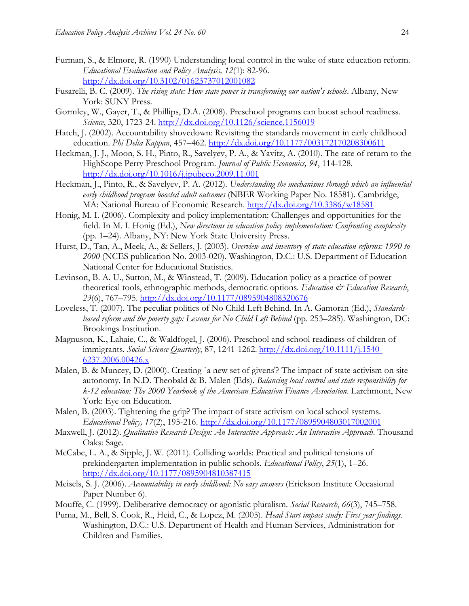- Furman, S., & Elmore, R. (1990) Understanding local control in the wake of state education reform. *Educational Evaluation and Policy Analysis, 12*(1): 82-96. <http://dx.doi.org/10.3102/01623737012001082>
- Fusarelli, B. C. (2009). *The rising state: How state power is transforming our nation's schools*. Albany, New York: SUNY Press.
- Gormley, W., Gayer, T., & Phillips, D.A. (2008). Preschool programs can boost school readiness*. Science*, 320, 1723-24. <http://dx.doi.org/10.1126/science.1156019>
- Hatch, J. (2002). Accountability shovedown: Revisiting the standards movement in early childhood education. *Phi Delta Kappan*, 457–462.<http://dx.doi.org/10.1177/003172170208300611>
- Heckman, J. J., Moon, S. H., Pinto, R., Savelyev, P. A., & Yavitz, A. (2010). The rate of return to the HighScope Perry Preschool Program. *Journal of Public Economics, 94*, 114-128. <http://dx.doi.org/10.1016/j.jpubeco.2009.11.001>
- Heckman, J., Pinto, R., & Savelyev, P. A. (2012). *Understanding the mechanisms through which an influential early childhood program boosted adult outcomes* (NBER Working Paper No. 18581). Cambridge, MA: National Bureau of Economic Research. <http://dx.doi.org/10.3386/w18581>
- Honig, M. I. (2006). Complexity and policy implementation: Challenges and opportunities for the field. In M. I. Honig (Ed.), *New directions in education policy implementation: Confronting complexity* (pp. 1–24). Albany, NY: New York State University Press.
- Hurst, D., Tan, A., Meek, A., & Sellers, J. (2003). *Overview and inventory of state education reforms: 1990 to 2000* (NCES publication No. 2003-020). Washington, D.C.: U.S. Department of Education National Center for Educational Statistics.
- Levinson, B. A. U., Sutton, M., & Winstead, T. (2009). Education policy as a practice of power theoretical tools, ethnographic methods, democratic options. *Education*  $\mathcal{C}$  *Education Research*, *23*(6), 767–795. <http://dx.doi.org/10.1177/0895904808320676>
- Loveless, T. (2007). The peculiar politics of No Child Left Behind. In A. Gamoran (Ed.), *Standardsbased reform and the poverty gap: Lessons for No Child Left Behind* (pp. 253–285). Washington, DC: Brookings Institution.
- Magnuson, K., Lahaie, C., & Waldfogel, J. (2006). Preschool and school readiness of children of immigrants. *Social Science Quarterly*, 87, 1241-1262. [http://dx.doi.org/10.1111/j.1540-](http://dx.doi.org/10.1111/j.1540-6237.2006.00426.x) [6237.2006.00426.x](http://dx.doi.org/10.1111/j.1540-6237.2006.00426.x)
- Malen, B. & Muncey, D. (2000). Creating `a new set of givens'? The impact of state activism on site autonomy. In N.D. Theobald & B. Malen (Eds). *Balancing local control and state responsibility for k-12 education: The 2000 Yearbook of the American Education Finance Association*. Larchmont, New York: Eye on Education.
- Malen, B. (2003). Tightening the grip? The impact of state activism on local school systems. *Educational Policy, 17*(2), 195-216.<http://dx.doi.org/10.1177/0895904803017002001>
- Maxwell, J. (2012). *Qualitative Research Design: An Interactive Approach: An Interactive Approach*. Thousand Oaks: Sage.
- McCabe, L. A., & Sipple, J. W. (2011). Colliding worlds: Practical and political tensions of prekindergarten implementation in public schools. *Educational Policy*, *25*(1), 1–26. <http://dx.doi.org/10.1177/0895904810387415>
- Meisels, S. J. (2006). *Accountability in early childhood: No easy answers* (Erickson Institute Occasional Paper Number 6).
- Mouffe, C. (1999). Deliberative democracy or agonistic pluralism. *Social Research*, *66*(3), 745–758.
- Puma, M., Bell, S. Cook, R., Heid, C., & Lopez, M. (2005). *Head Start impact study: First year findings.*  Washington, D.C.: U.S. Department of Health and Human Services, Administration for Children and Families.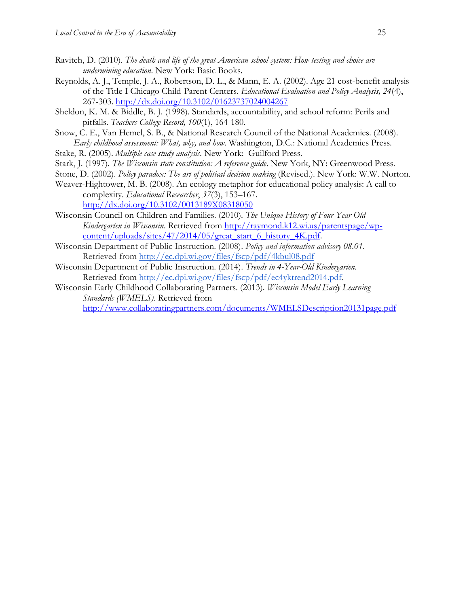- Ravitch, D. (2010). *The death and life of the great American school system: How testing and choice are undermining education*. New York: Basic Books.
- Reynolds, A. J., Temple, J. A., Robertson, D. L., & Mann, E. A. (2002). Age 21 cost-benefit analysis of the Title I Chicago Child-Parent Centers. *Educational Evaluation and Policy Analysis, 24*(4), 267-303. <http://dx.doi.org/10.3102/01623737024004267>
- Sheldon, K. M. & Biddle, B. J. (1998). Standards, accountability, and school reform: Perils and pitfalls. *Teachers College Record, 100*(1), 164-180.
- Snow, C. E., Van Hemel, S. B., & National Research Council of the National Academies. (2008). *Early childhood assessment: What, why, and how*. Washington, D.C.: National Academies Press.

Stake, R. (2005). *Multiple case study analysis.* New York: Guilford Press.

- Stark, J. (1997). *The Wisconsin state constitution: A reference guide*. New York, NY: Greenwood Press.
- Stone, D. (2002). *Policy paradox: The art of political decision making* (Revised.). New York: W.W. Norton.
- Weaver-Hightower, M. B. (2008). An ecology metaphor for educational policy analysis: A call to complexity. *Educational Researcher*, *37*(3), 153–167. <http://dx.doi.org/10.3102/0013189X08318050>
- Wisconsin Council on Children and Families. (2010). *The Unique History of Four-Year-Old Kindergarten in Wisconsin*. Retrieved from [http://raymond.k12.wi.us/parentspage/wp](http://raymond.k12.wi.us/parentspage/wp-content/uploads/sites/47/2014/05/great_start_6_history_4K.pdf)[content/uploads/sites/47/2014/05/great\\_start\\_6\\_history\\_4K.pdf.](http://raymond.k12.wi.us/parentspage/wp-content/uploads/sites/47/2014/05/great_start_6_history_4K.pdf)
- Wisconsin Department of Public Instruction. (2008). *Policy and information advisory 08.01*. Retrieved from<http://ec.dpi.wi.gov/files/fscp/pdf/4kbul08.pdf>
- Wisconsin Department of Public Instruction. (2014). *Trends in 4-Year-Old Kindergarten*. Retrieved from [http://ec.dpi.wi.gov/files/fscp/pdf/ec4yktrend2014.pdf.](http://ec.dpi.wi.gov/files/fscp/pdf/ec4yktrend2014.pdf)
- Wisconsin Early Childhood Collaborating Partners. (2013). *Wisconsin Model Early Learning Standards (WMELS)*. Retrieved from

<http://www.collaboratingpartners.com/documents/WMELSDescription20131page.pdf>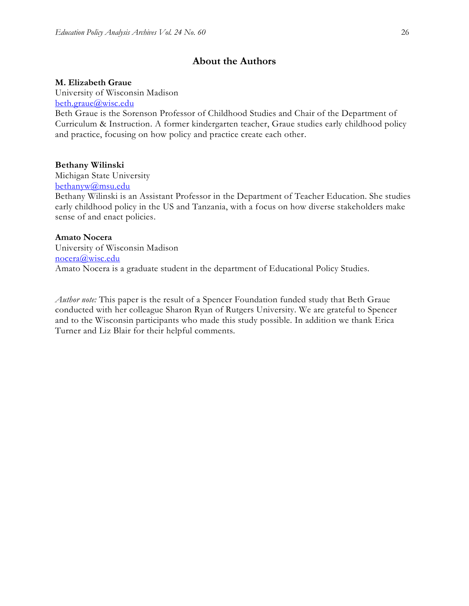## **About the Authors**

#### **M. Elizabeth Graue**

University of Wisconsin Madison [beth.graue@wisc.edu](mailto:beth.graue@wisc.edu)

Beth Graue is the Sorenson Professor of Childhood Studies and Chair of the Department of Curriculum & Instruction. A former kindergarten teacher, Graue studies early childhood policy and practice, focusing on how policy and practice create each other.

#### **Bethany Wilinski**

Michigan State University [bethanyw@msu.edu](mailto:bethanyw@msu.edu)

Bethany Wilinski is an Assistant Professor in the Department of Teacher Education. She studies early childhood policy in the US and Tanzania, with a focus on how diverse stakeholders make sense of and enact policies.

#### **Amato Nocera**

University of Wisconsin Madison [nocera@wisc.edu](mailto:nocera@wisc.edu) Amato Nocera is a graduate student in the department of Educational Policy Studies.

*Author note:* This paper is the result of a Spencer Foundation funded study that Beth Graue conducted with her colleague Sharon Ryan of Rutgers University. We are grateful to Spencer and to the Wisconsin participants who made this study possible. In addition we thank Erica Turner and Liz Blair for their helpful comments.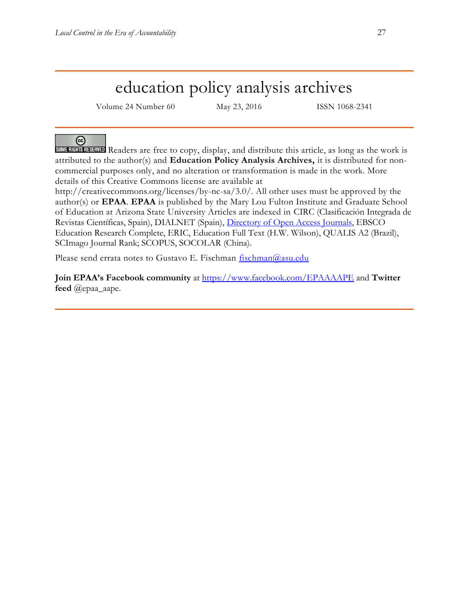## education policy analysis archives

Volume 24 Number 60 May 23, 2016 ISSN 1068-2341

ര

SOME RIGHTS RESERVED Readers are free to copy, display, and distribute this article, as long as the work is attributed to the author(s) and **Education Policy Analysis Archives,** it is distributed for noncommercial purposes only, and no alteration or transformation is made in the work. More details of this Creative Commons license are available at

http://creativecommons.org/licenses/by-nc-sa/3.0/. All other uses must be approved by the author(s) or **EPAA**. **EPAA** is published by the Mary Lou Fulton Institute and Graduate School of Education at Arizona State University Articles are indexed in CIRC (Clasificación Integrada de Revistas Científicas, Spain), DIALNET (Spain), [Directory of Open Access Journals,](http://www.doaj.org/) EBSCO Education Research Complete, ERIC, Education Full Text (H.W. Wilson), QUALIS A2 (Brazil), SCImago Journal Rank; SCOPUS, SOCOLAR (China).

Please send errata notes to Gustavo E. Fischman [fischman@asu.edu](mailto:fischman@asu.edu)

**Join EPAA's Facebook community** at<https://www.facebook.com/EPAAAAPE> and **Twitter feed** @epaa\_aape.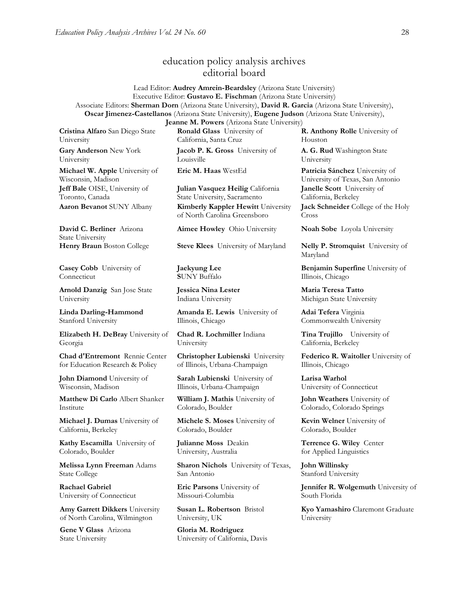### education policy analysis archives editorial board

Lead Editor: **Audrey Amrein-Beardsley** (Arizona State University) Executive Editor: **Gustavo E. Fischman** (Arizona State University) Associate Editors: **Sherman Dorn** (Arizona State University), **David R. Garcia** (Arizona State University), **Oscar Jimenez-Castellanos** (Arizona State University), **Eugene Judson** (Arizona State University),

**Cristina Alfaro** San Diego State University

**Gary Anderson** New York University

**Michael W. Apple** University of Wisconsin, Madison **Jeff Bale** OISE, University of Toronto, Canada

**David C. Berliner** Arizona State University

**Casey Cobb** University of Connecticut

**Arnold Danzig** San Jose State University

**Linda Darling-Hammond**  Stanford University

**Elizabeth H. DeBray** University of Georgia

**Chad d'Entremont** Rennie Center for Education Research & Policy

**John Diamond** University of Wisconsin, Madison

**Matthew Di Carlo** Albert Shanker Institute

**Michael J. Dumas** University of California, Berkeley

**Kathy Escamilla** University of Colorado, Boulder

**Melissa Lynn Freeman** Adams State College

**Rachael Gabriel** University of Connecticut

**Amy Garrett Dikkers** University of North Carolina, Wilmington

**Gene V Glass** Arizona State University

**Jeanne M. Powers** (Arizona State University) **Ronald Glass** University of California, Santa Cruz

**Jacob P. K. Gross** University of Louisville

**Julian Vasquez Heilig** California State University, Sacramento **Aaron Bevanot** SUNY Albany **Kimberly Kappler Hewitt** University of North Carolina Greensboro

**Aimee Howley** Ohio University **Noah Sobe** Loyola University

**Henry Braun** Boston College **Steve Klees** University of Maryland **Nelly P. Stromquist** University of

**Jaekyung Lee S**UNY Buffalo

**Jessica Nina Lester** Indiana University

**Amanda E. Lewis** University of Illinois, Chicago

**Chad R. Lochmiller** Indiana University

**Christopher Lubienski** University of Illinois, Urbana-Champaign

**Sarah Lubienski** University of Illinois, Urbana-Champaign

**William J. Mathis** University of Colorado, Boulder

**Michele S. Moses** University of Colorado, Boulder

**Julianne Moss** Deakin University, Australia

**Sharon Nichols** University of Texas, San Antonio

**Eric Parsons** University of Missouri-Columbia

**Susan L. Robertson** Bristol University, UK

**Gloria M. Rodriguez** University of California, Davis **R. Anthony Rolle** University of Houston

**A. G. Rud** Washington State University

**Eric M. Haas** WestEd **Patricia Sánchez** University of University of Texas, San Antonio **Janelle Scott** University of California, Berkeley **Jack Schneider** College of the Holy Cross

Maryland

**Benjamin Superfine** University of Illinois, Chicago

**Maria Teresa Tatto**  Michigan State University

**Adai Tefera** Virginia Commonwealth University

**Tina Trujillo** University of California, Berkeley

**Federico R. Waitoller** University of Illinois, Chicago

**Larisa Warhol** University of Connecticut

**John Weathers** University of Colorado, Colorado Springs

**Kevin Welner** University of Colorado, Boulder

**Terrence G. Wiley** Center for Applied Linguistics

**John Willinsky**  Stanford University

**Jennifer R. Wolgemuth** University of South Florida

**Kyo Yamashiro** Claremont Graduate University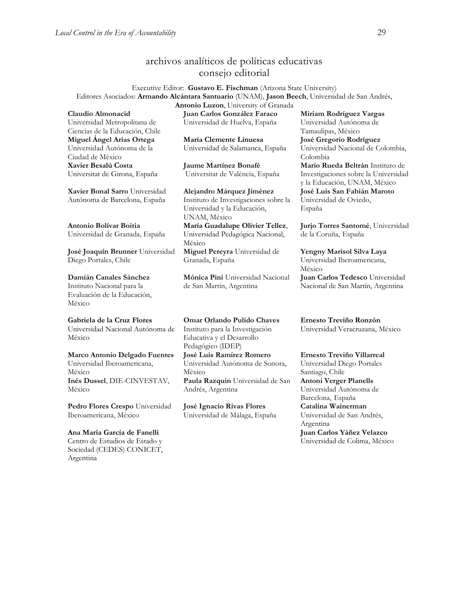## archivos analíticos de políticas educativas consejo editorial

Executive Editor: **Gustavo E. Fischman** (Arizona State University) Editores Asociados: **Armando Alcántara Santuario** (UNAM), **Jason Beech**, Universidad de San Andrés, **Antonio Luzon**, University of Granada

**Claudio Almonacid** Universidad Metropolitana de Ciencias de la Educación, Chile **Miguel Ángel Arias Ortega**  Universidad Autónoma de la Ciudad de México **Xavier Besalú Costa**  Universitat de Girona, España

**[Xavier Bonal](javascript:openRTWindow() Sarro** Universidad Autónoma de Barcelona, España

**[Antonio Bolívar](javascript:openRTWindow() Boitia** Universidad de Granada, España

**[José Joaquín Brunner](javascript:openRTWindow()** Universidad Diego Portales, Chile

**[Damián Canales Sánchez](javascript:openRTWindow()** Instituto Nacional para la Evaluación de la Educación, México

## **Gabriela de la Cruz Flores**

Universidad Nacional Autónoma de México

**[Marco Antonio Delgado Fuentes](javascript:openRTWindow()** Universidad Iberoamericana,

México **[Inés Dussel](javascript:openRTWindow()**, DIE-CINVESTAV, México

**[Pedro Flores Crespo](javascript:openRTWindow()** Universidad Iberoamericana, México

## **Ana María García de Fanelli**

Centro de Estudios de Estado y Sociedad (CEDES) CONICET, Argentina

**Juan Carlos González Faraco**  Universidad de Huelva, España

**María Clemente Linuesa**  Universidad de Salamanca, España

**Jaume Martínez Bonafé** Universitat de València, España

**Alejandro Márquez Jiménez**  Instituto de Investigaciones sobre la Universidad y la Educación, UNAM, México **María Guadalupe Olivier Tellez**, Universidad Pedagógica Nacional, México

**[Miguel Pereyra](javascript:openRTWindow()** Universidad de Granada, España

**[Mónica Pini](javascript:openRTWindow()** Universidad Nacional de San Martín, Argentina

**Omar Orlando Pulido Chaves** Instituto para la Investigación Educativa y el Desarrollo Pedagógico (IDEP) **[José Luis Ramírez](javascript:openRTWindow() Romero**

Universidad Autónoma de Sonora, México **[Paula Razquin](javascript:openRTWindow()** Universidad de San Andrés, Argentina

**José Ignacio Rivas Flores** Universidad de Málaga, España **[Miriam Rodríguez Vargas](javascript:openRTWindow()** Universidad Autónoma de Tamaulipas, México **José Gregorio Rodríguez**  Universidad Nacional de Colombia, Colombia **[Mario Rueda Beltrán](javascript:openRTWindow()** Instituto de Investigaciones sobre la Universidad y la Educación, UNAM, México **José Luis San Fabián Maroto**  Universidad de Oviedo,

España

**[Jurjo Torres Santomé](javascript:openRTWindow()**, Universidad de la Coruña, España

**[Yengny Marisol Silva Laya](javascript:openRTWindow()** Universidad Iberoamericana, México **Juan Carlos Tedesco** Universidad Nacional de San Martín, Argentina

**Ernesto Treviño Ronzón** Universidad Veracruzana, México

#### **[Ernesto Treviño](javascript:openRTWindow() Villarreal**

Universidad Diego Portales Santiago, Chile **[Antoni Verger Planells](javascript:openRTWindow()** Universidad Autónoma de Barcelona, España **[Catalina Wainerman](javascript:openRTWindow()** Universidad de San Andrés, Argentina **Juan Carlos Yáñez Velazco**

Universidad de Colima, México